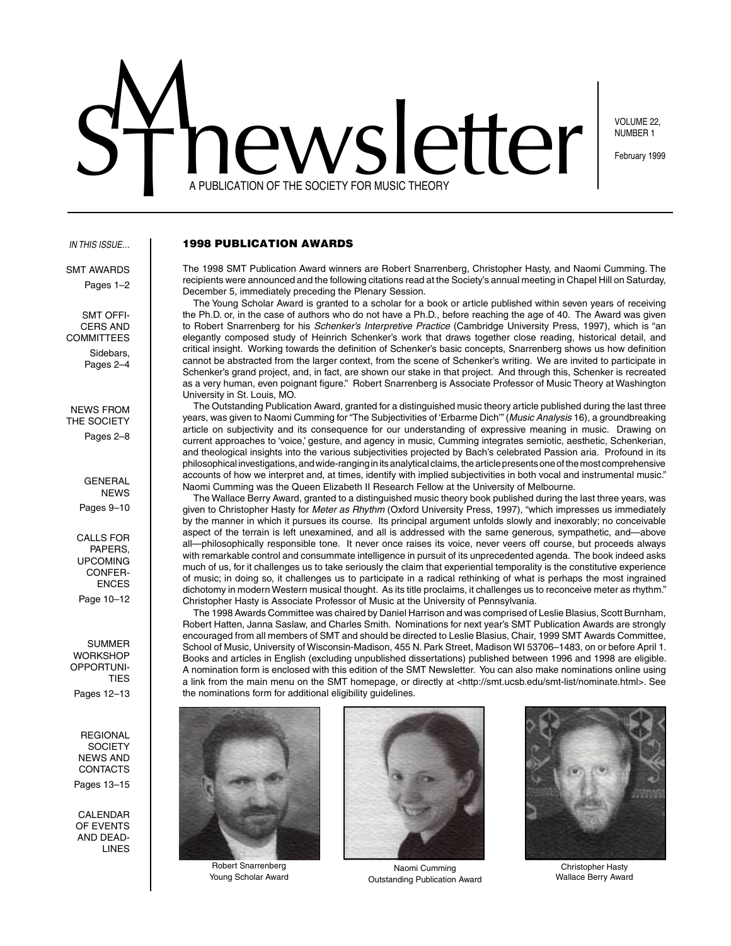# $M_{\rm M2N}$ ST newsletter FOR MUSIC THEORY **Exploration OF THE SOCIETY FOR MUSIC THEORY** A PUBLICATION OF THE SOCIETY FOR MUSIC THEORY

NUMBER 1

#### *In this issue…*

**SMT AWARDS** Pages 1–2

SMT Officers and **COMMITTEES** Sidebars, Pages 2–4

NEWS From THE SOCIETY Pages 2–8

> **GENERAL NEWS** Pages 9–10

Calls for Papers, upcoming CONFER-**ENCES** Page 10–12

SUMMER **WORKSHOP** Opportuni-**TIES** Pages 12–13

**REGIONAL SOCIETY** News and **CONTACTS** Pages 13–15

**CALENDAR** of events and dead-**LINES** 

1998 Publication Awards

The 1998 SMT Publication Award winners are Robert Snarrenberg, Christopher Hasty, and Naomi Cumming. The recipients were announced and the following citations read at the Society's annual meeting in Chapel Hill on Saturday, December 5, immediately preceding the Plenary Session.

The Young Scholar Award is granted to a scholar for a book or article published within seven years of receiving the Ph.D. or, in the case of authors who do not have a Ph.D., before reaching the age of 40. The Award was given to Robert Snarrenberg for his *Schenker's Interpretive Practice* (Cambridge University Press, 1997), which is "an elegantly composed study of Heinrich Schenker's work that draws together close reading, historical detail, and critical insight. Working towards the definition of Schenker's basic concepts, Snarrenberg shows us how definition cannot be abstracted from the larger context, from the scene of Schenker's writing. We are invited to participate in Schenker's grand project, and, in fact, are shown our stake in that project. And through this, Schenker is recreated as a very human, even poignant figure." Robert Snarrenberg is Associate Professor of Music Theory at Washington University in St. Louis, MO.

The Outstanding Publication Award, granted for a distinguished music theory article published during the last three years, was given to Naomi Cumming for "The Subjectivities of 'Erbarme Dich'" (*Music Analysis* 16), a groundbreaking article on subjectivity and its consequence for our understanding of expressive meaning in music. Drawing on current approaches to 'voice,' gesture, and agency in music, Cumming integrates semiotic, aesthetic, Schenkerian, and theological insights into the various subjectivities projected by Bach's celebrated Passion aria. Profound in its philosophical investigations, and wide-ranging in its analytical claims, the article presents one of the most comprehensive accounts of how we interpret and, at times, identify with implied subjectivities in both vocal and instrumental music." Naomi Cumming was the Queen Elizabeth II Research Fellow at the University of Melbourne.

The Wallace Berry Award, granted to a distinguished music theory book published during the last three years, was given to Christopher Hasty for *Meter as Rhythm* (Oxford University Press, 1997), "which impresses us immediately by the manner in which it pursues its course. Its principal argument unfolds slowly and inexorably; no conceivable aspect of the terrain is left unexamined, and all is addressed with the same generous, sympathetic, and—above all—philosophically responsible tone. It never once raises its voice, never veers off course, but proceeds always with remarkable control and consummate intelligence in pursuit of its unprecedented agenda. The book indeed asks much of us, for it challenges us to take seriously the claim that experiential temporality is the constitutive experience of music; in doing so, it challenges us to participate in a radical rethinking of what is perhaps the most ingrained dichotomy in modern Western musical thought. As its title proclaims, it challenges us to reconceive meter as rhythm." Christopher Hasty is Associate Professor of Music at the University of Pennsylvania.

The 1998 Awards Committee was chaired by Daniel Harrison and was comprised of Leslie Blasius, Scott Burnham, Robert Hatten, Janna Saslaw, and Charles Smith. Nominations for next year's SMT Publication Awards are strongly encouraged from all members of SMT and should be directed to Leslie Blasius, Chair, 1999 SMT Awards Committee, School of Music, University of Wisconsin-Madison, 455 N. Park Street, Madison WI 53706–1483, on or before April 1. Books and articles in English (excluding unpublished dissertations) published between 1996 and 1998 are eligible. A nomination form is enclosed with this edition of the SMT Newsletter. You can also make nominations online using a link from the main menu on the SMT homepage, or directly at <http://smt.ucsb.edu/smt-list/nominate.html>. See the nominations form for additional eligibility guidelines.



Robert Snarrenberg Young Scholar Award



Naomi Cumming Outstanding Publication Award



Christopher Hasty Wallace Berry Award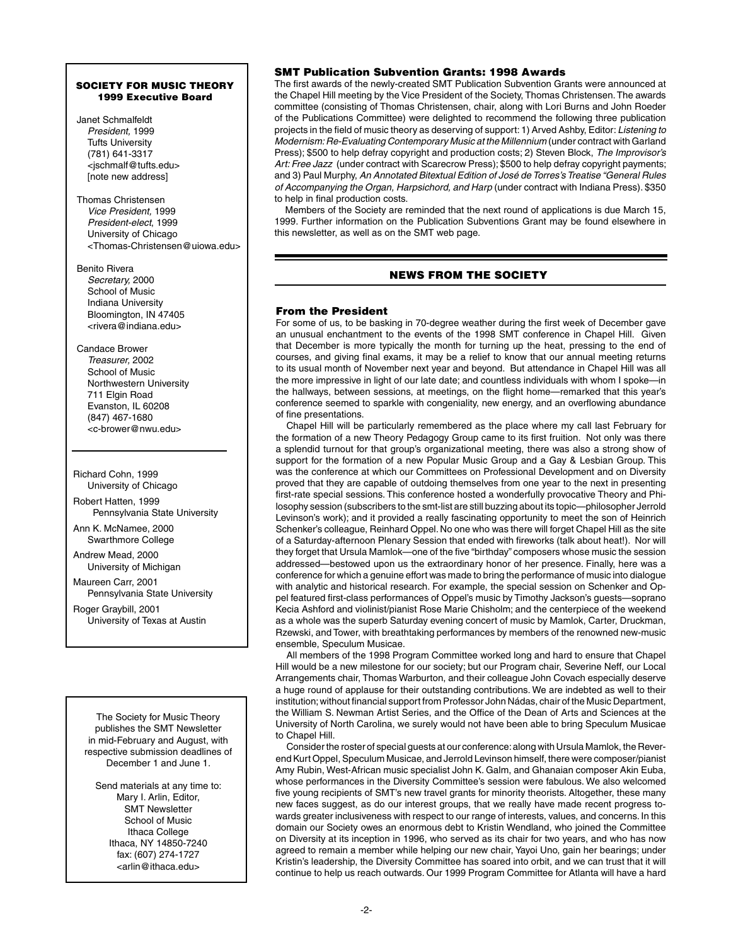## SOCIETY FOR MUSIC THEORY 1999 Executive Board

Janet Schmalfeldt *President,* 1999 Tufts University (781) 641-3317 <jschmalf@tufts.edu> [note new address]

Thomas Christensen *Vice President,* 1999 *President-elect*, 1999 University of Chicago <Thomas-Christensen@uiowa.edu>

Benito Rivera *Secretary,* 2000 School of Music Indiana University

Bloomington, IN 47405 <rivera@indiana.edu>

Candace Brower *Treasurer,* 2002 School of Music Northwestern University 711 Elgin Road Evanston, IL 60208 (847) 467-1680 <c-brower@nwu.edu>

Richard Cohn, 1999 University of Chicago

Robert Hatten, 1999 Pennsylvania State University

Ann K. McNamee, 2000 Swarthmore College

Andrew Mead, 2000 University of Michigan

Maureen Carr, 2001 Pennsylvania State University

Roger Graybill, 2001 University of Texas at Austin

The Society for Music Theory publishes the SMT Newsletter in mid-February and August, with respective submission deadlines of December 1 and June 1.

Send materials at any time to: Mary I. Arlin, Editor, SMT Newsletter School of Music Ithaca College Ithaca, NY 14850-7240 fax: (607) 274-1727 <arlin@ithaca.edu>

## SMT Publication Subvention Grants: 1998 Awards

The first awards of the newly-created SMT Publication Subvention Grants were announced at the Chapel Hill meeting by the Vice President of the Society, Thomas Christensen. The awards committee (consisting of Thomas Christensen, chair, along with Lori Burns and John Roeder of the Publications Committee) were delighted to recommend the following three publication projects in the field of music theory as deserving of support: 1) Arved Ashby, Editor: *Listening to Modernism: Re-Evaluating Contemporary Music at the Millennium* (under contract with Garland Press); \$500 to help defray copyright and production costs; 2) Steven Block, *The Improvisor's Art: Free Jazz* (under contract with Scarecrow Press); \$500 to help defray copyright payments; and 3) Paul Murphy, *An Annotated Bitextual Edition of José de Torres's Treatise "General Rules of Accompanying the Organ, Harpsichord, and Harp* (under contract with Indiana Press). \$350 to help in final production costs.

Members of the Society are reminded that the next round of applications is due March 15, 1999. Further information on the Publication Subventions Grant may be found elsewhere in this newsletter, as well as on the SMT web page.

# NEWS FROM THE SOCIETY

## From the President

For some of us, to be basking in 70-degree weather during the first week of December gave an unusual enchantment to the events of the 1998 SMT conference in Chapel Hill. Given that December is more typically the month for turning up the heat, pressing to the end of courses, and giving final exams, it may be a relief to know that our annual meeting returns to its usual month of November next year and beyond. But attendance in Chapel Hill was all the more impressive in light of our late date; and countless individuals with whom I spoke—in the hallways, between sessions, at meetings, on the flight home—remarked that this year's conference seemed to sparkle with congeniality, new energy, and an overflowing abundance of fine presentations.

 Chapel Hill will be particularly remembered as the place where my call last February for the formation of a new Theory Pedagogy Group came to its first fruition. Not only was there a splendid turnout for that group's organizational meeting, there was also a strong show of support for the formation of a new Popular Music Group and a Gay & Lesbian Group. This was the conference at which our Committees on Professional Development and on Diversity proved that they are capable of outdoing themselves from one year to the next in presenting first-rate special sessions. This conference hosted a wonderfully provocative Theory and Philosophy session (subscribers to the smt-list are still buzzing about its topic—philosopher Jerrold Levinson's work); and it provided a really fascinating opportunity to meet the son of Heinrich Schenker's colleague, Reinhard Oppel. No one who was there will forget Chapel Hill as the site of a Saturday-afternoon Plenary Session that ended with fireworks (talk about heat!). Nor will they forget that Ursula Mamlok—one of the five "birthday" composers whose music the session addressed—bestowed upon us the extraordinary honor of her presence. Finally, here was a conference for which a genuine effort was made to bring the performance of music into dialogue with analytic and historical research. For example, the special session on Schenker and Oppel featured first-class performances of Oppel's music by Timothy Jackson's guests—soprano Kecia Ashford and violinist/pianist Rose Marie Chisholm; and the centerpiece of the weekend as a whole was the superb Saturday evening concert of music by Mamlok, Carter, Druckman, Rzewski, and Tower, with breathtaking performances by members of the renowned new-music ensemble, Speculum Musicae.

All members of the 1998 Program Committee worked long and hard to ensure that Chapel Hill would be a new milestone for our society; but our Program chair, Severine Neff, our Local Arrangements chair, Thomas Warburton, and their colleague John Covach especially deserve a huge round of applause for their outstanding contributions. We are indebted as well to their institution; without financial support from Professor John Nádas, chair of the Music Department, the William S. Newman Artist Series, and the Office of the Dean of Arts and Sciences at the University of North Carolina, we surely would not have been able to bring Speculum Musicae to Chapel Hill.

 Consider the roster of special guests at our conference: along with Ursula Mamlok, the Reverend Kurt Oppel, Speculum Musicae, and Jerrold Levinson himself, there were composer/pianist Amy Rubin, West-African music specialist John K. Galm, and Ghanaian composer Akin Euba, whose performances in the Diversity Committee's session were fabulous. We also welcomed five young recipients of SMT's new travel grants for minority theorists. Altogether, these many new faces suggest, as do our interest groups, that we really have made recent progress towards greater inclusiveness with respect to our range of interests, values, and concerns. In this domain our Society owes an enormous debt to Kristin Wendland, who joined the Committee on Diversity at its inception in 1996, who served as its chair for two years, and who has now agreed to remain a member while helping our new chair, Yayoi Uno, gain her bearings; under Kristin's leadership, the Diversity Committee has soared into orbit, and we can trust that it will continue to help us reach outwards. Our 1999 Program Committee for Atlanta will have a hard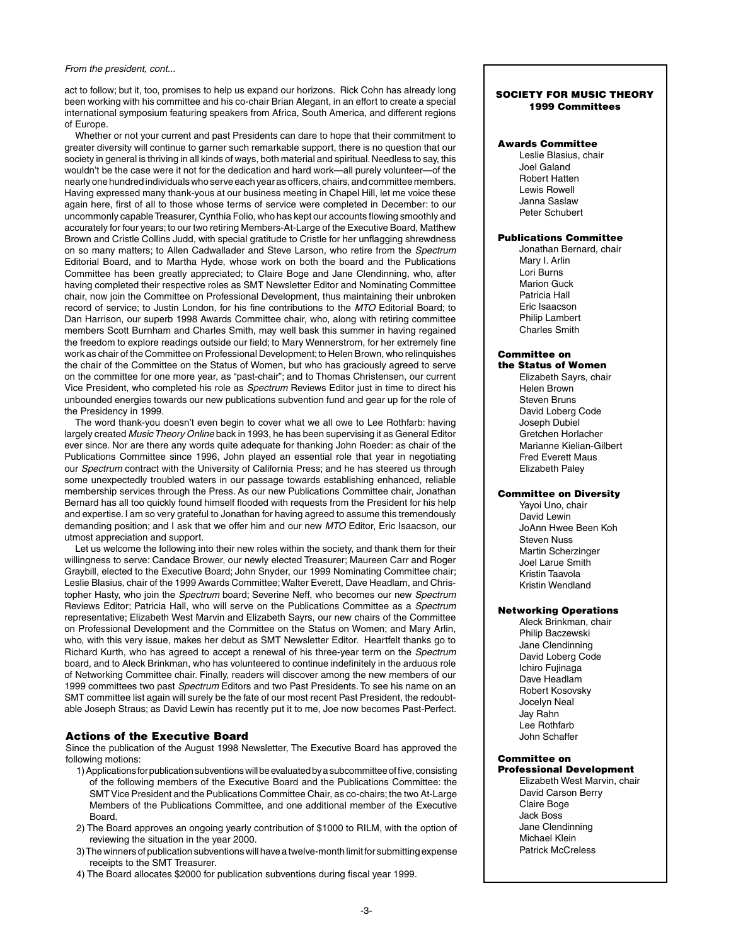#### *From the president, cont...*

act to follow; but it, too, promises to help us expand our horizons. Rick Cohn has already long been working with his committee and his co-chair Brian Alegant, in an effort to create a special international symposium featuring speakers from Africa, South America, and different regions of Europe.

 Whether or not your current and past Presidents can dare to hope that their commitment to greater diversity will continue to garner such remarkable support, there is no question that our society in general is thriving in all kinds of ways, both material and spiritual. Needless to say, this wouldn't be the case were it not for the dedication and hard work—all purely volunteer—of the nearly one hundred individuals who serve each year as officers, chairs, and committee members. Having expressed many thank-yous at our business meeting in Chapel Hill, let me voice these again here, first of all to those whose terms of service were completed in December: to our uncommonly capable Treasurer, Cynthia Folio, who has kept our accounts flowing smoothly and accurately for four years; to our two retiring Members-At-Large of the Executive Board, Matthew Brown and Cristle Collins Judd, with special gratitude to Cristle for her unflagging shrewdness on so many matters; to Allen Cadwallader and Steve Larson, who retire from the *Spectrum* Editorial Board, and to Martha Hyde, whose work on both the board and the Publications Committee has been greatly appreciated; to Claire Boge and Jane Clendinning, who, after having completed their respective roles as SMT Newsletter Editor and Nominating Committee chair, now join the Committee on Professional Development, thus maintaining their unbroken record of service; to Justin London, for his fine contributions to the *MTO* Editorial Board; to Dan Harrison, our superb 1998 Awards Committee chair, who, along with retiring committee members Scott Burnham and Charles Smith, may well bask this summer in having regained the freedom to explore readings outside our field; to Mary Wennerstrom, for her extremely fine work as chair of the Committee on Professional Development; to Helen Brown, who relinquishes the chair of the Committee on the Status of Women, but who has graciously agreed to serve on the committee for one more year, as "past-chair"; and to Thomas Christensen, our current Vice President, who completed his role as *Spectrum* Reviews Editor just in time to direct his unbounded energies towards our new publications subvention fund and gear up for the role of the Presidency in 1999.

The word thank-you doesn't even begin to cover what we all owe to Lee Rothfarb: having largely created *Music Theory Online* back in 1993, he has been supervising it as General Editor ever since. Nor are there any words quite adequate for thanking John Roeder: as chair of the Publications Committee since 1996, John played an essential role that year in negotiating our *Spectrum* contract with the University of California Press; and he has steered us through some unexpectedly troubled waters in our passage towards establishing enhanced, reliable membership services through the Press. As our new Publications Committee chair, Jonathan Bernard has all too quickly found himself flooded with requests from the President for his help and expertise. I am so very grateful to Jonathan for having agreed to assume this tremendously demanding position; and I ask that we offer him and our new *MTO* Editor, Eric Isaacson, our utmost appreciation and support.

 Let us welcome the following into their new roles within the society, and thank them for their willingness to serve: Candace Brower, our newly elected Treasurer; Maureen Carr and Roger Graybill, elected to the Executive Board; John Snyder, our 1999 Nominating Committee chair; Leslie Blasius, chair of the 1999 Awards Committee; Walter Everett, Dave Headlam, and Christopher Hasty, who join the *Spectrum* board; Severine Neff, who becomes our new *Spectrum* Reviews Editor; Patricia Hall, who will serve on the Publications Committee as a *Spectrum* representative; Elizabeth West Marvin and Elizabeth Sayrs, our new chairs of the Committee on Professional Development and the Committee on the Status on Women; and Mary Arlin, who, with this very issue, makes her debut as SMT Newsletter Editor. Heartfelt thanks go to Richard Kurth, who has agreed to accept a renewal of his three-year term on the *Spectrum* board, and to Aleck Brinkman, who has volunteered to continue indefinitely in the arduous role of Networking Committee chair. Finally, readers will discover among the new members of our 1999 committees two past *Spectrum* Editors and two Past Presidents. To see his name on an SMT committee list again will surely be the fate of our most recent Past President, the redoubtable Joseph Straus; as David Lewin has recently put it to me, Joe now becomes Past-Perfect.

## Actions of the Executive Board

Since the publication of the August 1998 Newsletter, The Executive Board has approved the following motions:

- 1) Applications for publication subventions will be evaluated by a subcommittee of five, consisting of the following members of the Executive Board and the Publications Committee: the SMT Vice President and the Publications Committee Chair, as co-chairs; the two At-Large Members of the Publications Committee, and one additional member of the Executive Board.
- 2) The Board approves an ongoing yearly contribution of \$1000 to RILM, with the option of reviewing the situation in the year 2000.
- 3) The winners of publication subventions will have a twelve-month limit for submitting expense receipts to the SMT Treasurer.
- 4) The Board allocates \$2000 for publication subventions during fiscal year 1999.

#### SOCIETY FOR MUSIC THEORY 1999 Committees

#### Awards Committee

Leslie Blasius, chair Joel Galand Robert Hatten Lewis Rowell Janna Saslaw Peter Schubert

## Publications Committee

Jonathan Bernard, chair Mary I. Arlin Lori Burns Marion Guck Patricia Hall Eric Isaacson Philip Lambert Charles Smith

#### Committee on the Status of Women

Elizabeth Sayrs, chair Helen Brown Steven Bruns David Loberg Code Joseph Dubiel Gretchen Horlacher Marianne Kielian-Gilbert Fred Everett Maus Elizabeth Paley

#### Committee on Diversity

Yayoi Uno, chair David Lewin JoAnn Hwee Been Koh Steven Nuss Martin Scherzinger Joel Larue Smith Kristin Taavola Kristin Wendland

## Networking Operations

Aleck Brinkman, chair Philip Baczewski Jane Clendinning David Loberg Code Ichiro Fujinaga Dave Headlam Robert Kosovsky Jocelyn Neal Jay Rahn Lee Rothfarb John Schaffer

## Committee on

#### Professional Development Elizabeth West Marvin, chair David Carson Berry Claire Boge Jack Boss Jane Clendinning Michael Klein Patrick McCreless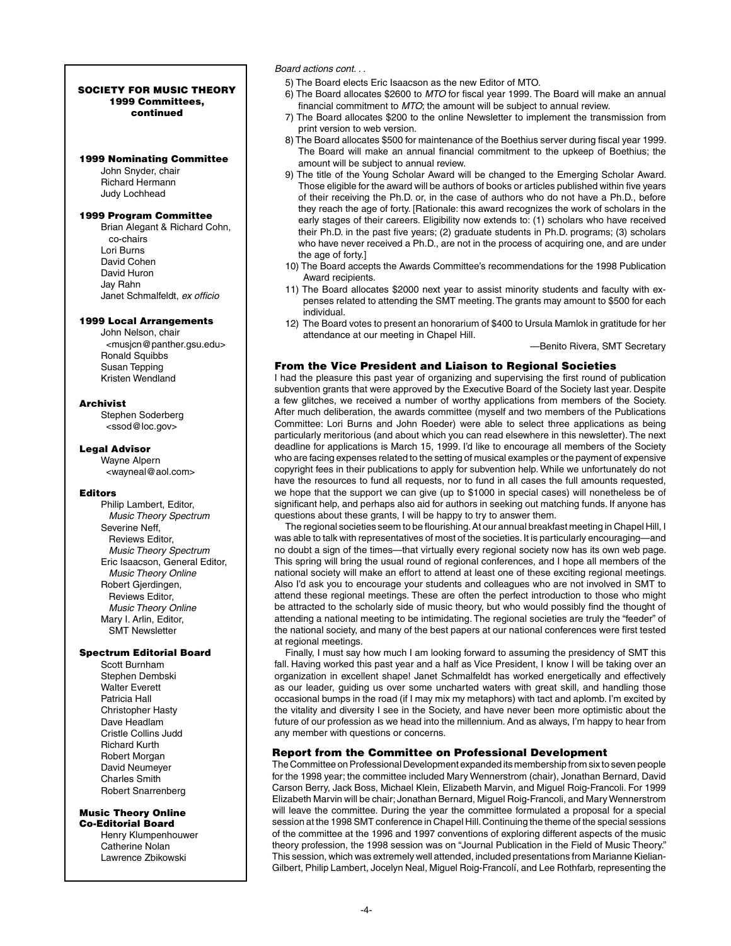#### SOCIETY FOR MUSIC THEORY 1999 Committees, continued

#### 1999 Nominating Committee

John Snyder, chair Richard Hermann Judy Lochhead

## 1999 Program Committee

Brian Alegant & Richard Cohn, co-chairs Lori Burns David Cohen David Huron Jay Rahn Janet Schmalfeldt, *ex officio*

#### 1999 Local Arrangements

John Nelson, chair <musjcn@panther.gsu.edu> Ronald Squibbs Susan Tepping Kristen Wendland

#### Archivist

Stephen Soderberg <ssod@loc.gov>

#### Legal Advisor

Wayne Alpern <wayneal@aol.com>

#### Editors

Philip Lambert, Editor,  *Music Theory Spectrum* Severine Neff, Reviews Editor,  *Music Theory Spectrum* Eric Isaacson, General Editor,  *Music Theory Online* Robert Gjerdingen, Reviews Editor,  *Music Theory Online* Mary I. Arlin, Editor, SMT Newsletter

# Spectrum Editorial Board

Scott Burnham Stephen Dembski Walter Everett Patricia Hall Christopher Hasty Dave Headlam Cristle Collins Judd Richard Kurth Robert Morgan David Neumeyer Charles Smith Robert Snarrenberg

#### Music Theory Online Co-Editorial Board

Henry Klumpenhouwer Catherine Nolan Lawrence Zbikowski

*Board actions cont. . .*

- 5) The Board elects Eric Isaacson as the new Editor of MTO.
- 6) The Board allocates \$2600 to *MTO* for fiscal year 1999. The Board will make an annual financial commitment to *MTO*; the amount will be subject to annual review.
- 7) The Board allocates \$200 to the online Newsletter to implement the transmission from print version to web version.
- 8) The Board allocates \$500 for maintenance of the Boethius server during fiscal year 1999. The Board will make an annual financial commitment to the upkeep of Boethius; the amount will be subject to annual review.
- 9) The title of the Young Scholar Award will be changed to the Emerging Scholar Award. Those eligible for the award will be authors of books or articles published within five years of their receiving the Ph.D. or, in the case of authors who do not have a Ph.D., before they reach the age of forty. [Rationale: this award recognizes the work of scholars in the early stages of their careers. Eligibility now extends to: (1) scholars who have received their Ph.D. in the past five years; (2) graduate students in Ph.D. programs; (3) scholars who have never received a Ph.D., are not in the process of acquiring one, and are under the age of forty.]
- 10) The Board accepts the Awards Committee's recommendations for the 1998 Publication Award recipients.
- 11) The Board allocates \$2000 next year to assist minority students and faculty with expenses related to attending the SMT meeting. The grants may amount to \$500 for each individual.
- 12) The Board votes to present an honorarium of \$400 to Ursula Mamlok in gratitude for her attendance at our meeting in Chapel Hill.

—Benito Rivera, SMT Secretary

## From the Vice President and Liaison to Regional Societies

I had the pleasure this past year of organizing and supervising the first round of publication subvention grants that were approved by the Executive Board of the Society last year. Despite a few glitches, we received a number of worthy applications from members of the Society. After much deliberation, the awards committee (myself and two members of the Publications Committee: Lori Burns and John Roeder) were able to select three applications as being particularly meritorious (and about which you can read elsewhere in this newsletter). The next deadline for applications is March 15, 1999. I'd like to encourage all members of the Society who are facing expenses related to the setting of musical examples or the payment of expensive copyright fees in their publications to apply for subvention help. While we unfortunately do not have the resources to fund all requests, nor to fund in all cases the full amounts requested, we hope that the support we can give (up to \$1000 in special cases) will nonetheless be of significant help, and perhaps also aid for authors in seeking out matching funds. If anyone has questions about these grants, I will be happy to try to answer them.

The regional societies seem to be flourishing. At our annual breakfast meeting in Chapel Hill, I was able to talk with representatives of most of the societies. It is particularly encouraging—and no doubt a sign of the times—that virtually every regional society now has its own web page. This spring will bring the usual round of regional conferences, and I hope all members of the national society will make an effort to attend at least one of these exciting regional meetings. Also I'd ask you to encourage your students and colleagues who are not involved in SMT to attend these regional meetings. These are often the perfect introduction to those who might be attracted to the scholarly side of music theory, but who would possibly find the thought of attending a national meeting to be intimidating. The regional societies are truly the "feeder" of the national society, and many of the best papers at our national conferences were first tested at regional meetings.

 Finally, I must say how much I am looking forward to assuming the presidency of SMT this fall. Having worked this past year and a half as Vice President, I know I will be taking over an organization in excellent shape! Janet Schmalfeldt has worked energetically and effectively as our leader, guiding us over some uncharted waters with great skill, and handling those occasional bumps in the road (if I may mix my metaphors) with tact and aplomb. I'm excited by the vitality and diversity I see in the Society, and have never been more optimistic about the future of our profession as we head into the millennium. And as always, I'm happy to hear from any member with questions or concerns.

## Report from the Committee on Professional Development

The Committee on Professional Development expanded its membership from six to seven people for the 1998 year; the committee included Mary Wennerstrom (chair), Jonathan Bernard, David Carson Berry, Jack Boss, Michael Klein, Elizabeth Marvin, and Miguel Roig-Francoli. For 1999 Elizabeth Marvin will be chair; Jonathan Bernard, Miguel Roig-Francoli, and Mary Wennerstrom will leave the committee. During the year the committee formulated a proposal for a special session at the 1998 SMT conference in Chapel Hill. Continuing the theme of the special sessions of the committee at the 1996 and 1997 conventions of exploring different aspects of the music theory profession, the 1998 session was on "Journal Publication in the Field of Music Theory." This session, which was extremely well attended, included presentations from Marianne Kielian-Gilbert, Philip Lambert, Jocelyn Neal, Miguel Roig-Francolí, and Lee Rothfarb, representing the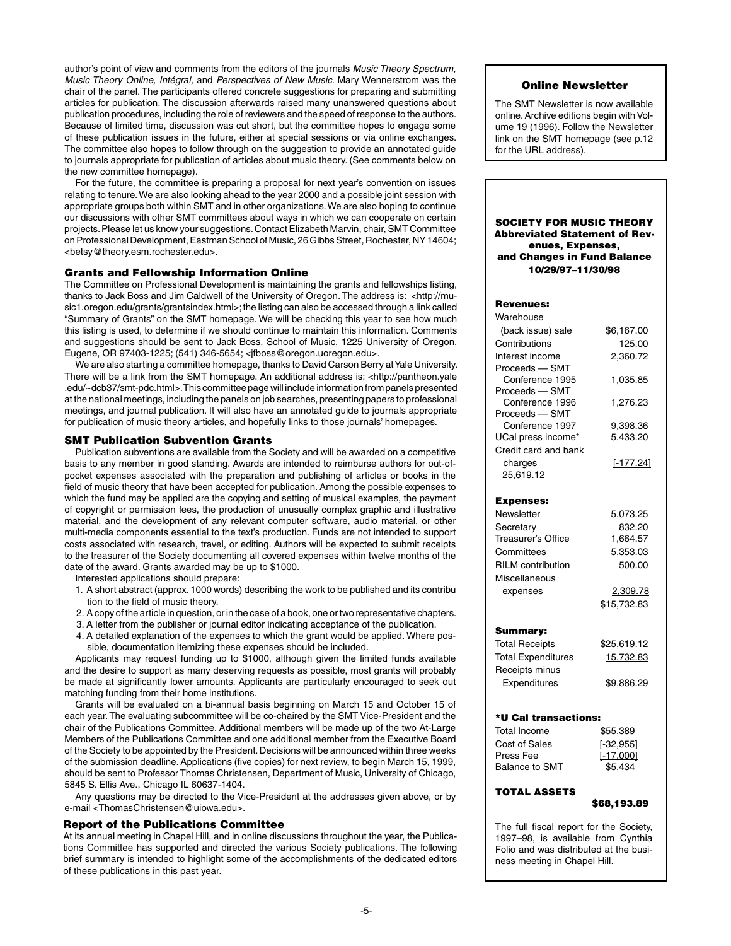author's point of view and comments from the editors of the journals *Music Theory Spectrum, Music Theory Online, Intégral,* and *Perspectives of New Music*. Mary Wennerstrom was the chair of the panel. The participants offered concrete suggestions for preparing and submitting articles for publication. The discussion afterwards raised many unanswered questions about publication procedures, including the role of reviewers and the speed of response to the authors. Because of limited time, discussion was cut short, but the committee hopes to engage some of these publication issues in the future, either at special sessions or via online exchanges. The committee also hopes to follow through on the suggestion to provide an annotated guide to journals appropriate for publication of articles about music theory. (See comments below on the new committee homepage).

 For the future, the committee is preparing a proposal for next year's convention on issues relating to tenure. We are also looking ahead to the year 2000 and a possible joint session with appropriate groups both within SMT and in other organizations. We are also hoping to continue our discussions with other SMT committees about ways in which we can cooperate on certain projects. Please let us know your suggestions. Contact Elizabeth Marvin, chair, SMT Committee on Professional Development, Eastman School of Music, 26 Gibbs Street, Rochester, NY 14604; <betsy@theory.esm.rochester.edu>.

#### Grants and Fellowship Information Online

The Committee on Professional Development is maintaining the grants and fellowships listing, thanks to Jack Boss and Jim Caldwell of the University of Oregon. The address is: <http://music1.oregon.edu/grants/grantsindex.html>; the listing can also be accessed through a link called "Summary of Grants" on the SMT homepage. We will be checking this year to see how much this listing is used, to determine if we should continue to maintain this information. Comments and suggestions should be sent to Jack Boss, School of Music, 1225 University of Oregon, Eugene, OR 97403-1225; (541) 346-5654; <jfboss@oregon.uoregon.edu>.

 We are also starting a committee homepage, thanks to David Carson Berry at Yale University. There will be a link from the SMT homepage. An additional address is: <http://pantheon.yale .edu/~dcb37/smt-pdc.html>. This committee page will include information from panels presented at the national meetings, including the panels on job searches, presenting papers to professional meetings, and journal publication. It will also have an annotated guide to journals appropriate for publication of music theory articles, and hopefully links to those journals' homepages.

#### SMT Publication Subvention Grants

Publication subventions are available from the Society and will be awarded on a competitive basis to any member in good standing. Awards are intended to reimburse authors for out-ofpocket expenses associated with the preparation and publishing of articles or books in the field of music theory that have been accepted for publication. Among the possible expenses to which the fund may be applied are the copying and setting of musical examples, the payment of copyright or permission fees, the production of unusually complex graphic and illustrative material, and the development of any relevant computer software, audio material, or other multi-media components essential to the text's production. Funds are not intended to support costs associated with research, travel, or editing. Authors will be expected to submit receipts to the treasurer of the Society documenting all covered expenses within twelve months of the date of the award. Grants awarded may be up to \$1000.

Interested applications should prepare:

- 1. A short abstract (approx. 1000 words) describing the work to be published and its contribu tion to the field of music theory.
- 2. A copy of the article in question, or in the case of a book, one or two representative chapters.
- 3. A letter from the publisher or journal editor indicating acceptance of the publication. 4. A detailed explanation of the expenses to which the grant would be applied. Where pos-

sible, documentation itemizing these expenses should be included. Applicants may request funding up to \$1000, although given the limited funds available and the desire to support as many deserving requests as possible, most grants will probably be made at significantly lower amounts. Applicants are particularly encouraged to seek out matching funding from their home institutions.

Grants will be evaluated on a bi-annual basis beginning on March 15 and October 15 of each year. The evaluating subcommittee will be co-chaired by the SMT Vice-President and the chair of the Publications Committee. Additional members will be made up of the two At-Large Members of the Publications Committee and one additional member from the Executive Board of the Society to be appointed by the President. Decisions will be announced within three weeks of the submission deadline. Applications (five copies) for next review, to begin March 15, 1999, should be sent to Professor Thomas Christensen, Department of Music, University of Chicago, 5845 S. Ellis Ave., Chicago IL 60637-1404.

Any questions may be directed to the Vice-President at the addresses given above, or by e-mail <ThomasChristensen@uiowa.edu>.

#### Report of the Publications Committee

At its annual meeting in Chapel Hill, and in online discussions throughout the year, the Publications Committee has supported and directed the various Society publications. The following brief summary is intended to highlight some of the accomplishments of the dedicated editors of these publications in this past year.

#### Online Newsletter

The SMT Newsletter is now available online. Archive editions begin with Volume 19 (1996). Follow the Newsletter link on the SMT homepage (see p.12 for the URL address).

#### Society for Music Theory Abbreviated Statement of Revenues, Expenses, and Changes in Fund Balance 10/29/97–11/30/98

#### Revenues:

| Warehouse                         |                        |
|-----------------------------------|------------------------|
| (back issue) sale                 | \$6,167.00             |
| Contributions                     | 125.00                 |
| Interest income                   | 2,360.72               |
| Proceeds - SMT                    |                        |
| Conference 1995                   | 1,035.85               |
| Proceeds - SMT                    |                        |
| Conference 1996                   | 1,276.23               |
| Proceeds - SMT                    |                        |
| Conference 1997                   | 9,398.36               |
| UCal press income*                | 5,433.20               |
| Credit card and bank              |                        |
| charges                           | $[-177.24]$            |
| 25,619.12                         |                        |
| <b>Expenses:</b>                  |                        |
| Newsletter                        | 5,073.25               |
| Secretary                         | 832.20                 |
| Treasurer's Office                | 1,664.57               |
| Committees                        | 5,353.03               |
| <b>RILM</b> contribution          | 500.00                 |
| Miscellaneous                     |                        |
| expenses                          | 2,309.78               |
|                                   | \$15,732.83            |
|                                   |                        |
| <b>Summary:</b>                   |                        |
| <b>Total Receipts</b>             | \$25,619.12            |
| <b>Total Expenditures</b>         | 15,732.83              |
| Receipts minus                    |                        |
| Expenditures                      | \$9,886.29             |
|                                   |                        |
|                                   |                        |
| *U Cal transactions:              |                        |
| <b>Total Income</b>               | \$55,389               |
| <b>Cost of Sales</b><br>Press Fee | $[-32, 955]$           |
| <b>Balance to SMT</b>             | $[-17,000]$<br>\$5,434 |
|                                   |                        |

## TOTAL ASSETS

#### \$68,193.89

The full fiscal report for the Society, 1997–98, is available from Cynthia Folio and was distributed at the business meeting in Chapel Hill.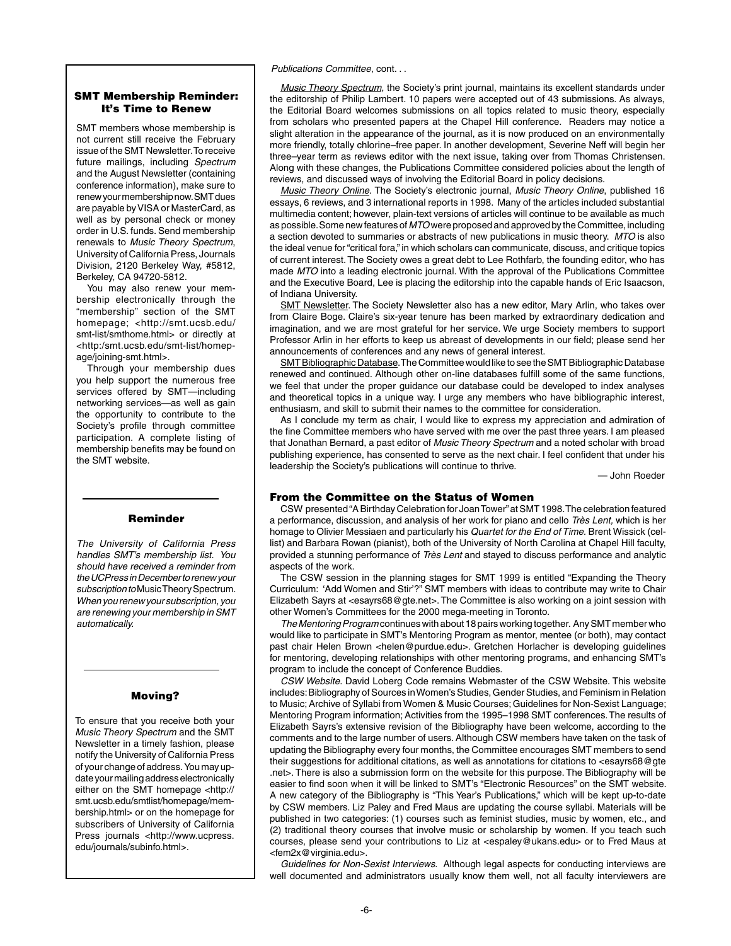#### *Publications Committee*, cont. . .

## SMT Membership Reminder: It's Time to Renew

SMT members whose membership is not current still receive the February issue of the SMT Newsletter. To receive future mailings, including *Spectrum* and the August Newsletter (containing conference information), make sure to renew your membership now. SMT dues are payable by VISA or MasterCard, as well as by personal check or money order in U.S. funds. Send membership renewals to *Music Theory Spectrum*, University of California Press, Journals Division, 2120 Berkeley Way, #5812, Berkeley, CA 94720-5812.

 You may also renew your membership electronically through the "membership" section of the SMT homepage; <http://smt.ucsb.edu/ smt-list/smthome.html> or directly at <http:/smt.ucsb.edu/smt-list/homepage/joining-smt.html>.

Through your membership dues you help support the numerous free services offered by SMT—including networking services—as well as gain the opportunity to contribute to the Society's profile through committee participation. A complete listing of membership benefits may be found on the SMT website.

## Reminder

*The University of California Press handles SMT's membership list. You should have received a reminder from the UCPress in December to renew your subscription to* Music Theory Spectrum. *When you renew your subscription, you are renewing your membership in SMT automatically.*

## Moving?

To ensure that you receive both your *Music Theory Spectrum* and the SMT Newsletter in a timely fashion, please notify the University of California Press of your change of address. You may update your mailing address electronically either on the SMT homepage <http:// smt.ucsb.edu/smtlist/homepage/membership.html> or on the homepage for subscribers of University of California Press journals <http://www.ucpress. edu/journals/subinfo.html>.

*Music Theory Spectrum*, the Society's print journal, maintains its excellent standards under the editorship of Philip Lambert. 10 papers were accepted out of 43 submissions. As always, the Editorial Board welcomes submissions on all topics related to music theory, especially from scholars who presented papers at the Chapel Hill conference. Readers may notice a slight alteration in the appearance of the journal, as it is now produced on an environmentally more friendly, totally chlorine–free paper. In another development, Severine Neff will begin her three–year term as reviews editor with the next issue, taking over from Thomas Christensen. Along with these changes, the Publications Committee considered policies about the length of reviews, and discussed ways of involving the Editorial Board in policy decisions.

*Music Theory Online.* The Society's electronic journal, *Music Theory Online*, published 16 essays, 6 reviews, and 3 international reports in 1998. Many of the articles included substantial multimedia content; however, plain-text versions of articles will continue to be available as much as possible. Some new features of *MTO* were proposed and approved by the Committee, including a section devoted to summaries or abstracts of new publications in music theory. *MTO* is also the ideal venue for "critical fora," in which scholars can communicate, discuss, and critique topics of current interest. The Society owes a great debt to Lee Rothfarb, the founding editor, who has made *MTO* into a leading electronic journal. With the approval of the Publications Committee and the Executive Board, Lee is placing the editorship into the capable hands of Eric Isaacson, of Indiana University.

SMT Newsletter. The Society Newsletter also has a new editor, Mary Arlin, who takes over from Claire Boge. Claire's six-year tenure has been marked by extraordinary dedication and imagination, and we are most grateful for her service. We urge Society members to support Professor Arlin in her efforts to keep us abreast of developments in our field; please send her announcements of conferences and any news of general interest.

SMT Bibliographic Database. The Committee would like to see the SMT Bibliographic Database renewed and continued. Although other on-line databases fulfill some of the same functions, we feel that under the proper guidance our database could be developed to index analyses and theoretical topics in a unique way. I urge any members who have bibliographic interest, enthusiasm, and skill to submit their names to the committee for consideration.

As I conclude my term as chair, I would like to express my appreciation and admiration of the fine Committee members who have served with me over the past three years. I am pleased that Jonathan Bernard, a past editor of *Music Theory Spectrum* and a noted scholar with broad publishing experience, has consented to serve as the next chair. I feel confident that under his leadership the Society's publications will continue to thrive.

— John Roeder

#### From the Committee on the Status of Women

CSW presented "A Birthday Celebration for Joan Tower" at SMT 1998. The celebration featured a performance, discussion, and analysis of her work for piano and cello *Très Lent,* which is her homage to Olivier Messiaen and particularly his *Quartet for the End of Time.* Brent Wissick (cellist) and Barbara Rowan (pianist), both of the University of North Carolina at Chapel Hill faculty, provided a stunning performance of *Très Lent* and stayed to discuss performance and analytic aspects of the work.

The CSW session in the planning stages for SMT 1999 is entitled "Expanding the Theory Curriculum: 'Add Women and Stir'?" SMT members with ideas to contribute may write to Chair Elizabeth Sayrs at <esayrs68@gte.net>. The Committee is also working on a joint session with other Women's Committees for the 2000 mega-meeting in Toronto.

*The Mentoring Program* continues with about 18 pairs working together. Any SMT member who would like to participate in SMT's Mentoring Program as mentor, mentee (or both), may contact past chair Helen Brown <helen@purdue.edu>. Gretchen Horlacher is developing guidelines for mentoring, developing relationships with other mentoring programs, and enhancing SMT's program to include the concept of Conference Buddies.

*CSW Website*. David Loberg Code remains Webmaster of the CSW Website. This website includes: Bibliography of Sources in Women's Studies, Gender Studies, and Feminism in Relation to Music; Archive of Syllabi from Women & Music Courses; Guidelines for Non-Sexist Language; Mentoring Program information; Activities from the 1995–1998 SMT conferences. The results of Elizabeth Sayrs's extensive revision of the Bibliography have been welcome, according to the comments and to the large number of users. Although CSW members have taken on the task of updating the Bibliography every four months, the Committee encourages SMT members to send their suggestions for additional citations, as well as annotations for citations to <esayrs68@gte .net>. There is also a submission form on the website for this purpose. The Bibliography will be easier to find soon when it will be linked to SMT's "Electronic Resources" on the SMT website. A new category of the Bibliography is "This Year's Publications," which will be kept up-to-date by CSW members. Liz Paley and Fred Maus are updating the course syllabi. Materials will be published in two categories: (1) courses such as feminist studies, music by women, etc., and (2) traditional theory courses that involve music or scholarship by women. If you teach such courses, please send your contributions to Liz at <espaley@ukans.edu> or to Fred Maus at <fem2x@virginia.edu>.

*Guidelines for Non-Sexist Interviews*. Although legal aspects for conducting interviews are well documented and administrators usually know them well, not all faculty interviewers are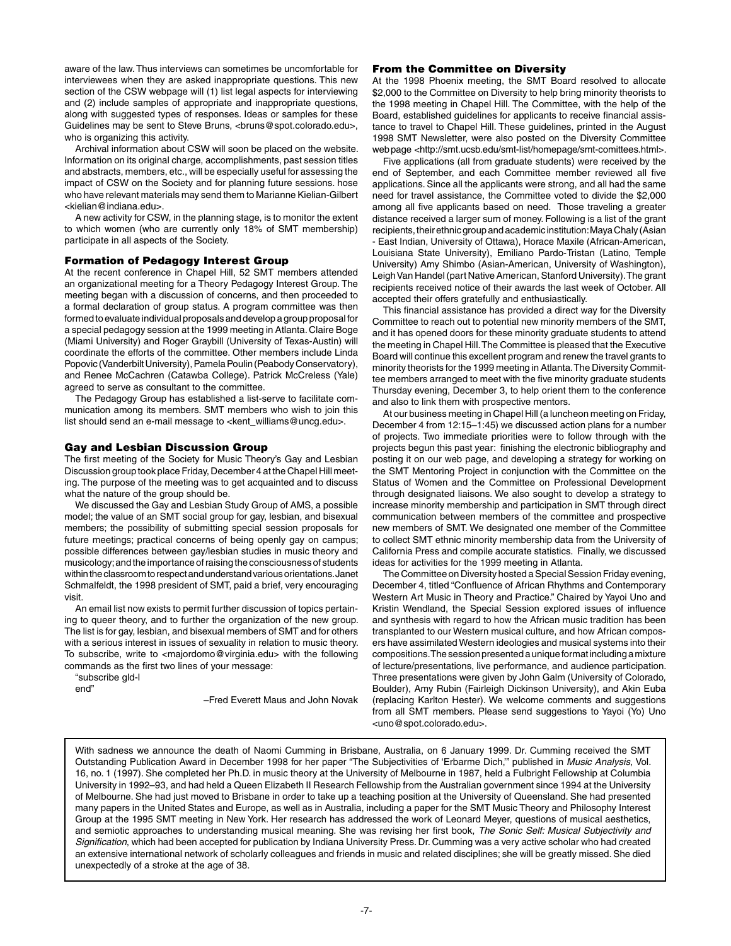aware of the law. Thus interviews can sometimes be uncomfortable for interviewees when they are asked inappropriate questions. This new section of the CSW webpage will (1) list legal aspects for interviewing and (2) include samples of appropriate and inappropriate questions, along with suggested types of responses. Ideas or samples for these Guidelines may be sent to Steve Bruns, <br/>hruns@spot.colorado.edu>, who is organizing this activity.

Archival information about CSW will soon be placed on the website. Information on its original charge, accomplishments, past session titles and abstracts, members, etc., will be especially useful for assessing the impact of CSW on the Society and for planning future sessions. hose who have relevant materials may send them to Marianne Kielian-Gilbert <kielian@indiana.edu>.

A new activity for CSW, in the planning stage, is to monitor the extent to which women (who are currently only 18% of SMT membership) participate in all aspects of the Society.

#### Formation of Pedagogy Interest Group

At the recent conference in Chapel Hill, 52 SMT members attended an organizational meeting for a Theory Pedagogy Interest Group. The meeting began with a discussion of concerns, and then proceeded to a formal declaration of group status. A program committee was then formed to evaluate individual proposals and develop a group proposal for a special pedagogy session at the 1999 meeting in Atlanta. Claire Boge (Miami University) and Roger Graybill (University of Texas-Austin) will coordinate the efforts of the committee. Other members include Linda Popovic (Vanderbilt University), Pamela Poulin (Peabody Conservatory), and Renee McCachren (Catawba College). Patrick McCreless (Yale) agreed to serve as consultant to the committee.

The Pedagogy Group has established a list-serve to facilitate communication among its members. SMT members who wish to join this list should send an e-mail message to <kent\_williams@uncg.edu>.

#### Gay and Lesbian Discussion Group

The first meeting of the Society for Music Theory's Gay and Lesbian Discussion group took place Friday, December 4 at the Chapel Hill meeting. The purpose of the meeting was to get acquainted and to discuss what the nature of the group should be.

 We discussed the Gay and Lesbian Study Group of AMS, a possible model; the value of an SMT social group for gay, lesbian, and bisexual members; the possibility of submitting special session proposals for future meetings; practical concerns of being openly gay on campus; possible differences between gay/lesbian studies in music theory and musicology; and the importance of raising the consciousness of students within the classroom to respect and understand various orientations. Janet Schmalfeldt, the 1998 president of SMT, paid a brief, very encouraging visit.

An email list now exists to permit further discussion of topics pertaining to queer theory, and to further the organization of the new group. The list is for gay, lesbian, and bisexual members of SMT and for others with a serious interest in issues of sexuality in relation to music theory. To subscribe, write to <majordomo@virginia.edu> with the following commands as the first two lines of your message:

"subscribe gld-l

end"

–Fred Everett Maus and John Novak

#### From the Committee on Diversity

At the 1998 Phoenix meeting, the SMT Board resolved to allocate \$2,000 to the Committee on Diversity to help bring minority theorists to the 1998 meeting in Chapel Hill. The Committee, with the help of the Board, established guidelines for applicants to receive financial assistance to travel to Chapel Hill. These guidelines, printed in the August 1998 SMT Newsletter, were also posted on the Diversity Committee web page <http://smt.ucsb.edu/smt-list/homepage/smt-comittees.html>.

 Five applications (all from graduate students) were received by the end of September, and each Committee member reviewed all five applications. Since all the applicants were strong, and all had the same need for travel assistance, the Committee voted to divide the \$2,000 among all five applicants based on need. Those traveling a greater distance received a larger sum of money. Following is a list of the grant recipients, their ethnic group and academic institution: Maya Chaly (Asian - East Indian, University of Ottawa), Horace Maxile (African-American, Louisiana State University), Emiliano Pardo-Tristan (Latino, Temple University) Amy Shimbo (Asian-American, University of Washington), Leigh Van Handel (part Native American, Stanford University). The grant recipients received notice of their awards the last week of October. All accepted their offers gratefully and enthusiastically.

This financial assistance has provided a direct way for the Diversity Committee to reach out to potential new minority members of the SMT, and it has opened doors for these minority graduate students to attend the meeting in Chapel Hill. The Committee is pleased that the Executive Board will continue this excellent program and renew the travel grants to minority theorists for the 1999 meeting in Atlanta. The Diversity Committee members arranged to meet with the five minority graduate students Thursday evening, December 3, to help orient them to the conference and also to link them with prospective mentors.

At our business meeting in Chapel Hill (a luncheon meeting on Friday, December 4 from 12:15–1:45) we discussed action plans for a number of projects. Two immediate priorities were to follow through with the projects begun this past year: finishing the electronic bibliography and posting it on our web page, and developing a strategy for working on the SMT Mentoring Project in conjunction with the Committee on the Status of Women and the Committee on Professional Development through designated liaisons. We also sought to develop a strategy to increase minority membership and participation in SMT through direct communication between members of the committee and prospective new members of SMT. We designated one member of the Committee to collect SMT ethnic minority membership data from the University of California Press and compile accurate statistics. Finally, we discussed ideas for activities for the 1999 meeting in Atlanta.

The Committee on Diversity hosted a Special Session Friday evening, December 4, titled "Confluence of African Rhythms and Contemporary Western Art Music in Theory and Practice." Chaired by Yayoi Uno and Kristin Wendland, the Special Session explored issues of influence and synthesis with regard to how the African music tradition has been transplanted to our Western musical culture, and how African composers have assimilated Western ideologies and musical systems into their compositions. The session presented a unique format including a mixture of lecture/presentations, live performance, and audience participation. Three presentations were given by John Galm (University of Colorado, Boulder), Amy Rubin (Fairleigh Dickinson University), and Akin Euba (replacing Karlton Hester). We welcome comments and suggestions from all SMT members. Please send suggestions to Yayoi (Yo) Uno <uno@spot.colorado.edu>.

With sadness we announce the death of Naomi Cumming in Brisbane, Australia, on 6 January 1999. Dr. Cumming received the SMT Outstanding Publication Award in December 1998 for her paper "The Subjectivities of 'Erbarme Dich,'" published in *Music Analysis*, Vol. 16, no. 1 (1997). She completed her Ph.D. in music theory at the University of Melbourne in 1987, held a Fulbright Fellowship at Columbia University in 1992–93, and had held a Queen Elizabeth II Research Fellowship from the Australian government since 1994 at the University of Melbourne. She had just moved to Brisbane in order to take up a teaching position at the University of Queensland. She had presented many papers in the United States and Europe, as well as in Australia, including a paper for the SMT Music Theory and Philosophy Interest Group at the 1995 SMT meeting in New York. Her research has addressed the work of Leonard Meyer, questions of musical aesthetics, and semiotic approaches to understanding musical meaning. She was revising her first book, *The Sonic Self: Musical Subjectivity and Signification*, which had been accepted for publication by Indiana University Press. Dr. Cumming was a very active scholar who had created an extensive international network of scholarly colleagues and friends in music and related disciplines; she will be greatly missed. She died unexpectedly of a stroke at the age of 38.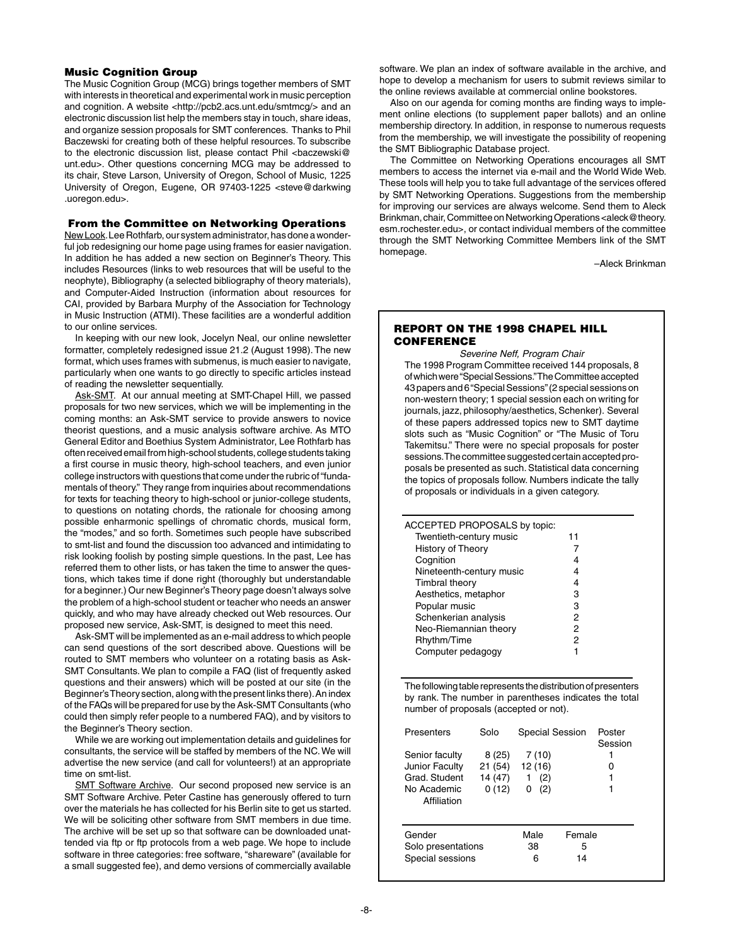## Music Cognition Group

The Music Cognition Group (MCG) brings together members of SMT with interests in theoretical and experimental work in music perception and cognition. A website <http://pcb2.acs.unt.edu/smtmcg/> and an electronic discussion list help the members stay in touch, share ideas, and organize session proposals for SMT conferences. Thanks to Phil Baczewski for creating both of these helpful resources. To subscribe to the electronic discussion list, please contact Phil <br/>baczewski@ unt.edu>. Other questions concerning MCG may be addressed to its chair, Steve Larson, University of Oregon, School of Music, 1225 University of Oregon, Eugene, OR 97403-1225 <steve@darkwing .uoregon.edu>.

#### From the Committee on Networking Operations

New Look. Lee Rothfarb, our system administrator, has done a wonderful job redesigning our home page using frames for easier navigation. In addition he has added a new section on Beginner's Theory. This includes Resources (links to web resources that will be useful to the neophyte), Bibliography (a selected bibliography of theory materials), and Computer-Aided Instruction (information about resources for CAI, provided by Barbara Murphy of the Association for Technology in Music Instruction (ATMI). These facilities are a wonderful addition to our online services.

 In keeping with our new look, Jocelyn Neal, our online newsletter formatter, completely redesigned issue 21.2 (August 1998). The new format, which uses frames with submenus, is much easier to navigate, particularly when one wants to go directly to specific articles instead of reading the newsletter sequentially.

Ask-SMT. At our annual meeting at SMT-Chapel Hill, we passed proposals for two new services, which we will be implementing in the coming months: an Ask-SMT service to provide answers to novice theorist questions, and a music analysis software archive. As MTO General Editor and Boethius System Administrator, Lee Rothfarb has often received email from high-school students, college students taking a first course in music theory, high-school teachers, and even junior college instructors with questions that come under the rubric of "fundamentals of theory." They range from inquiries about recommendations for texts for teaching theory to high-school or junior-college students, to questions on notating chords, the rationale for choosing among possible enharmonic spellings of chromatic chords, musical form, the "modes," and so forth. Sometimes such people have subscribed to smt-list and found the discussion too advanced and intimidating to risk looking foolish by posting simple questions. In the past, Lee has referred them to other lists, or has taken the time to answer the questions, which takes time if done right (thoroughly but understandable for a beginner.) Our new Beginner's Theory page doesn't always solve the problem of a high-school student or teacher who needs an answer quickly, and who may have already checked out Web resources. Our proposed new service, Ask-SMT, is designed to meet this need.

Ask-SMT will be implemented as an e-mail address to which people can send questions of the sort described above. Questions will be routed to SMT members who volunteer on a rotating basis as Ask-SMT Consultants. We plan to compile a FAQ (list of frequently asked questions and their answers) which will be posted at our site (in the Beginner's Theory section, along with the present links there). An index of the FAQs will be prepared for use by the Ask-SMT Consultants (who could then simply refer people to a numbered FAQ), and by visitors to the Beginner's Theory section.

 While we are working out implementation details and guidelines for consultants, the service will be staffed by members of the NC. We will advertise the new service (and call for volunteers!) at an appropriate time on smt-list.

SMT Software Archive. Our second proposed new service is an SMT Software Archive. Peter Castine has generously offered to turn over the materials he has collected for his Berlin site to get us started. We will be soliciting other software from SMT members in due time. The archive will be set up so that software can be downloaded unattended via ftp or ftp protocols from a web page. We hope to include software in three categories: free software, "shareware" (available for a small suggested fee), and demo versions of commercially available

software. We plan an index of software available in the archive, and hope to develop a mechanism for users to submit reviews similar to the online reviews available at commercial online bookstores.

Also on our agenda for coming months are finding ways to implement online elections (to supplement paper ballots) and an online membership directory. In addition, in response to numerous requests from the membership, we will investigate the possibility of reopening the SMT Bibliographic Database project.

The Committee on Networking Operations encourages all SMT members to access the internet via e-mail and the World Wide Web. These tools will help you to take full advantage of the services offered by SMT Networking Operations. Suggestions from the membership for improving our services are always welcome. Send them to Aleck Brinkman, chair, Committee on Networking Operations <aleck@theory. esm.rochester.edu>, or contact individual members of the committee through the SMT Networking Committee Members link of the SMT homepage.

–Aleck Brinkman

## REPORT ON THE 1998 CHAPEL HILL **CONFERENCE**

*Severine Neff, Program Chair* The 1998 Program Committee received 144 proposals, 8 of which were "Special Sessions." The Committee accepted 43 papers and 6 "Special Sessions" (2 special sessions on non-western theory; 1 special session each on writing for journals, jazz, philosophy/aesthetics, Schenker). Several of these papers addressed topics new to SMT daytime slots such as "Music Cognition" or "The Music of Toru Takemitsu." There were no special proposals for poster sessions. The committee suggested certain accepted proposals be presented as such. Statistical data concerning the topics of proposals follow. Numbers indicate the tally of proposals or individuals in a given category.

| ACCEPTED PROPOSALS by topic: |    |  |
|------------------------------|----|--|
| Twentieth-century music      | 11 |  |
| <b>History of Theory</b>     |    |  |
| Cognition                    |    |  |
| Nineteenth-century music     |    |  |
| Timbral theory               | 4  |  |
| Aesthetics, metaphor         | 3  |  |
| Popular music                | з  |  |
| Schenkerian analysis         | 2  |  |
| Neo-Riemannian theory        | 2  |  |
| Rhythm/Time                  | 2  |  |
| Computer pedagogy            |    |  |
|                              |    |  |

The following table represents the distribution of presenters by rank. The number in parentheses indicates the total number of proposals (accepted or not).

| 7 (10)                     | Poster<br>Session<br>1<br>o                        |
|----------------------------|----------------------------------------------------|
| (2)<br>1<br>0              |                                                    |
|                            |                                                    |
| Male<br>38<br>5<br>6<br>14 |                                                    |
|                            | <b>Special Session</b><br>12 (16)<br>(2)<br>Female |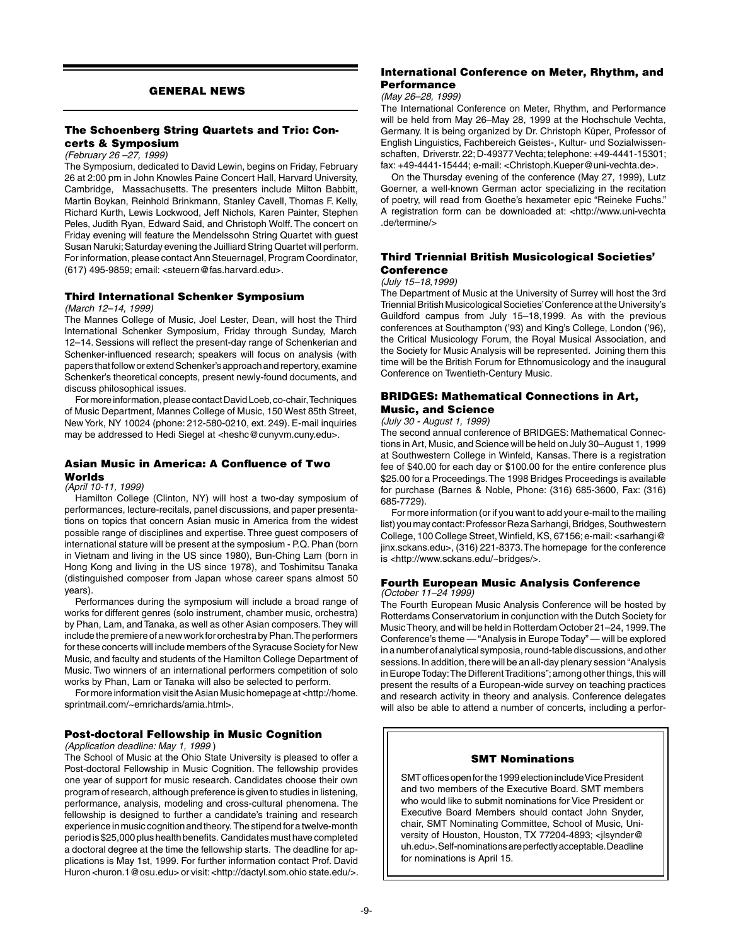## GENERAL NEWS

## The Schoenberg String Quartets and Trio: Concerts & Symposium

#### *(February 26 –27, 1999)*

The Symposium, dedicated to David Lewin, begins on Friday, February 26 at 2:00 pm in John Knowles Paine Concert Hall, Harvard University, Cambridge, Massachusetts. The presenters include Milton Babbitt, Martin Boykan, Reinhold Brinkmann, Stanley Cavell, Thomas F. Kelly, Richard Kurth, Lewis Lockwood, Jeff Nichols, Karen Painter, Stephen Peles, Judith Ryan, Edward Said, and Christoph Wolff. The concert on Friday evening will feature the Mendelssohn String Quartet with guest Susan Naruki; Saturday evening the Juilliard String Quartet will perform. For information, please contact Ann Steuernagel, Program Coordinator, (617) 495-9859; email: <steuern@fas.harvard.edu>.

## Third International Schenker Symposium

#### *(March 12–14, 1999)*

The Mannes College of Music, Joel Lester, Dean, will host the Third International Schenker Symposium, Friday through Sunday, March 12–14. Sessions will reflect the present-day range of Schenkerian and Schenker-influenced research; speakers will focus on analysis (with papers that follow or extend Schenker's approach and repertory, examine Schenker's theoretical concepts, present newly-found documents, and discuss philosophical issues.

 For more information, please contact David Loeb, co-chair, Techniques of Music Department, Mannes College of Music, 150 West 85th Street, New York, NY 10024 (phone: 212-580-0210, ext. 249). E-mail inquiries may be addressed to Hedi Siegel at <heshc@cunyvm.cuny.edu>.

## Asian Music in America: A Confluence of Two

## Worlds

# *(April 10-11, 1999)*

 Hamilton College (Clinton, NY) will host a two-day symposium of performances, lecture-recitals, panel discussions, and paper presentations on topics that concern Asian music in America from the widest possible range of disciplines and expertise. Three guest composers of international stature will be present at the symposium - P.Q. Phan (born in Vietnam and living in the US since 1980), Bun-Ching Lam (born in Hong Kong and living in the US since 1978), and Toshimitsu Tanaka (distinguished composer from Japan whose career spans almost 50 years).

Performances during the symposium will include a broad range of works for different genres (solo instrument, chamber music, orchestra) by Phan, Lam, and Tanaka, as well as other Asian composers. They will include the premiere of a new work for orchestra by Phan. The performers for these concerts will include members of the Syracuse Society for New Music, and faculty and students of the Hamilton College Department of Music. Two winners of an international performers competition of solo works by Phan, Lam or Tanaka will also be selected to perform.

 For more information visit the Asian Music homepage at <http://home. sprintmail.com/~emrichards/amia.html>.

## Post-doctoral Fellowship in Music Cognition

#### *(Application deadline: May 1, 1999* )

The School of Music at the Ohio State University is pleased to offer a Post-doctoral Fellowship in Music Cognition. The fellowship provides one year of support for music research. Candidates choose their own program of research, although preference is given to studies in listening, performance, analysis, modeling and cross-cultural phenomena. The fellowship is designed to further a candidate's training and research experience in music cognition and theory. The stipend for a twelve-month period is \$25,000 plus health benefits. Candidates must have completed a doctoral degree at the time the fellowship starts. The deadline for applications is May 1st, 1999. For further information contact Prof. David Huron <huron.1@osu.edu> or visit: <http://dactyl.som.ohio state.edu/>.

## International Conference on Meter, Rhythm, and **Performance**

#### *(May 26–28, 1999)*

The International Conference on Meter, Rhythm, and Performance will be held from May 26–May 28, 1999 at the Hochschule Vechta, Germany. It is being organized by Dr. Christoph Küper, Professor of English Linguistics, Fachbereich Geistes-, Kultur- und Sozialwissenschaften, Driverstr. 22; D-49377 Vechta; telephone: +49-4441-15301; fax: +49-4441-15444; e-mail: <Christoph.Kueper@uni-vechta.de>.

On the Thursday evening of the conference (May 27, 1999), Lutz Goerner, a well-known German actor specializing in the recitation of poetry, will read from Goethe's hexameter epic "Reineke Fuchs." A registration form can be downloaded at: <http://www.uni-vechta .de/termine/>

## Third Triennial British Musicological Societies' Conference

#### *(July 15–18,1999)*

The Department of Music at the University of Surrey will host the 3rd Triennial British Musicological Societies' Conference at the University's Guildford campus from July 15–18,1999. As with the previous conferences at Southampton ('93) and King's College, London ('96), the Critical Musicology Forum, the Royal Musical Association, and the Society for Music Analysis will be represented. Joining them this time will be the British Forum for Ethnomusicology and the inaugural Conference on Twentieth-Century Music.

## BRIDGES: Mathematical Connections in Art, Music, and Science

#### *(July 30 - August 1, 1999)*

The second annual conference of BRIDGES: Mathematical Connections in Art, Music, and Science will be held on July 30–August 1, 1999 at Southwestern College in Winfeld, Kansas. There is a registration fee of \$40.00 for each day or \$100.00 for the entire conference plus \$25.00 for a Proceedings. The 1998 Bridges Proceedings is available for purchase (Barnes & Noble, Phone: (316) 685-3600, Fax: (316) 685-7729).

 For more information (or if you want to add your e-mail to the mailing list) you may contact: Professor Reza Sarhangi, Bridges, Southwestern College, 100 College Street, Winfield, KS, 67156; e-mail: <sarhangi@ jinx.sckans.edu>, (316) 221-8373. The homepage for the conference is <http://www.sckans.edu/~bridges/>.

#### Fourth European Music Analysis Conference *(October 11–24 1999)*

The Fourth European Music Analysis Conference will be hosted by Rotterdams Conservatorium in conjunction with the Dutch Society for Music Theory, and will be held in Rotterdam October 21–24, 1999. The Conference's theme — "Analysis in Europe Today" — will be explored in a number of analytical symposia, round-table discussions, and other sessions. In addition, there will be an all-day plenary session "Analysis in Europe Today: The Different Traditions"; among other things, this will present the results of a European-wide survey on teaching practices and research activity in theory and analysis. Conference delegates will also be able to attend a number of concerts, including a perfor-

#### SMT Nominations

SMT offices open for the 1999 election include Vice President and two members of the Executive Board. SMT members who would like to submit nominations for Vice President or Executive Board Members should contact John Snyder, chair, SMT Nominating Committee, School of Music, University of Houston, Houston, TX 77204-4893; <jlsynder@ uh.edu>. Self-nominations are perfectly acceptable. Deadline for nominations is April 15.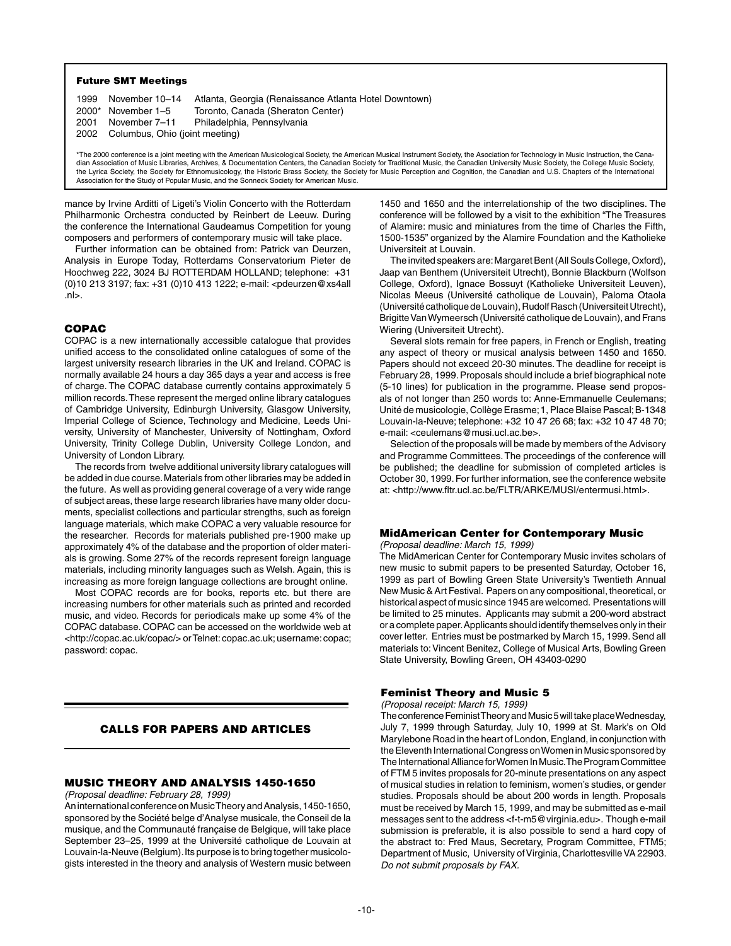#### Future SMT Meetings

| 1999 November 10-14                 | Atlanta, Georgia (Renaissance Atlanta Hotel Downtown) |
|-------------------------------------|-------------------------------------------------------|
| $2000*$ November 1-5                | Toronto, Canada (Sheraton Center)                     |
| 2001 November 7-11                  | Philadelphia, Pennsylvania                            |
| 2002 Columbus, Ohio (joint meeting) |                                                       |

\*The 2000 conference is a joint meeting with the American Musicological Society, the American Musical Instrument Society, the Asociation for Technology in Music Instruction, the Canadian Association of Music Libraries, Archives, & Documentation Centers, the Canadian Society for Traditional Music, the Canadian University Music Society, the College Music Society, the Lyrica Society, the Society for Ethnomusicology, the Historic Brass Society, the Society for Music Perception and Cognition, the Canadian and U.S. Chapters of the International<br>Association for the Study of Popular Musi

mance by Irvine Arditti of Ligeti's Violin Concerto with the Rotterdam Philharmonic Orchestra conducted by Reinbert de Leeuw. During the conference the International Gaudeamus Competition for young composers and performers of contemporary music will take place.

 Further information can be obtained from: Patrick van Deurzen, Analysis in Europe Today, Rotterdams Conservatorium Pieter de Hoochweg 222, 3024 BJ ROTTERDAM HOLLAND; telephone: +31 (0)10 213 3197; fax: +31 (0)10 413 1222; e-mail: <pdeurzen@xs4all .nl>.

## COPAC

COPAC is a new internationally accessible catalogue that provides unified access to the consolidated online catalogues of some of the largest university research libraries in the UK and Ireland. COPAC is normally available 24 hours a day 365 days a year and access is free of charge. The COPAC database currently contains approximately 5 million records. These represent the merged online library catalogues of Cambridge University, Edinburgh University, Glasgow University, Imperial College of Science, Technology and Medicine, Leeds University, University of Manchester, University of Nottingham, Oxford University, Trinity College Dublin, University College London, and University of London Library.

The records from twelve additional university library catalogues will be added in due course. Materials from other libraries may be added in the future. As well as providing general coverage of a very wide range of subject areas, these large research libraries have many older documents, specialist collections and particular strengths, such as foreign language materials, which make COPAC a very valuable resource for the researcher. Records for materials published pre-1900 make up approximately 4% of the database and the proportion of older materials is growing. Some 27% of the records represent foreign language materials, including minority languages such as Welsh. Again, this is increasing as more foreign language collections are brought online.

Most COPAC records are for books, reports etc. but there are increasing numbers for other materials such as printed and recorded music, and video. Records for periodicals make up some 4% of the COPAC database. COPAC can be accessed on the worldwide web at <http://copac.ac.uk/copac/> or Telnet: copac.ac.uk; username: copac; password: copac.

## CALLS FOR PAPERS AND ARTICLES

## MUSIC THEORY AND ANALYSIS 1450-1650

*(Proposal deadline: February 28, 1999)*

An international conference on Music Theory and Analysis, 1450-1650, sponsored by the Société belge d'Analyse musicale, the Conseil de la musique, and the Communauté française de Belgique, will take place September 23–25, 1999 at the Université catholique de Louvain at Louvain-la-Neuve (Belgium). Its purpose is to bring together musicologists interested in the theory and analysis of Western music between

1450 and 1650 and the interrelationship of the two disciplines. The conference will be followed by a visit to the exhibition "The Treasures of Alamire: music and miniatures from the time of Charles the Fifth, 1500-1535" organized by the Alamire Foundation and the Katholieke Universiteit at Louvain.

The invited speakers are: Margaret Bent (All Souls College, Oxford), Jaap van Benthem (Universiteit Utrecht), Bonnie Blackburn (Wolfson College, Oxford), Ignace Bossuyt (Katholieke Universiteit Leuven), Nicolas Meeus (Université catholique de Louvain), Paloma Otaola (Université catholique de Louvain), Rudolf Rasch (Universiteit Utrecht), Brigitte Van Wymeersch (Université catholique de Louvain), and Frans Wiering (Universiteit Utrecht).

Several slots remain for free papers, in French or English, treating any aspect of theory or musical analysis between 1450 and 1650. Papers should not exceed 20-30 minutes. The deadline for receipt is February 28, 1999. Proposals should include a brief biographical note (5-10 lines) for publication in the programme. Please send proposals of not longer than 250 words to: Anne-Emmanuelle Ceulemans; Unité de musicologie, Collège Erasme; 1, Place Blaise Pascal; B-1348 Louvain-la-Neuve; telephone: +32 10 47 26 68; fax: +32 10 47 48 70; e-mail: <ceulemans@musi.ucl.ac.be>.

Selection of the proposals will be made by members of the Advisory and Programme Committees. The proceedings of the conference will be published; the deadline for submission of completed articles is October 30, 1999. For further information, see the conference website at: <http://www.fltr.ucl.ac.be/FLTR/ARKE/MUSI/entermusi.html>.

## MidAmerican Center for Contemporary Music

#### *(Proposal deadline: March 15, 1999)*

The MidAmerican Center for Contemporary Music invites scholars of new music to submit papers to be presented Saturday, October 16, 1999 as part of Bowling Green State University's Twentieth Annual New Music & Art Festival. Papers on any compositional, theoretical, or historical aspect of music since 1945 are welcomed. Presentations will be limited to 25 minutes. Applicants may submit a 200-word abstract or a complete paper. Applicants should identify themselves only in their cover letter. Entries must be postmarked by March 15, 1999. Send all materials to: Vincent Benitez, College of Musical Arts, Bowling Green State University, Bowling Green, OH 43403-0290

#### Feminist Theory and Music 5

*(Proposal receipt: March 15, 1999)*

The conference Feminist Theory and Music 5 will take place Wednesday, July 7, 1999 through Saturday, July 10, 1999 at St. Mark's on Old Marylebone Road in the heart of London, England, in conjunction with the Eleventh International Congress on Women in Music sponsored by The International Alliance for Women In Music. The Program Committee of FTM 5 invites proposals for 20-minute presentations on any aspect of musical studies in relation to feminism, women's studies, or gender studies. Proposals should be about 200 words in length. Proposals must be received by March 15, 1999, and may be submitted as e-mail messages sent to the address <f-t-m5@virginia.edu>. Though e-mail submission is preferable, it is also possible to send a hard copy of the abstract to: Fred Maus, Secretary, Program Committee, FTM5; Department of Music, University of Virginia, Charlottesville VA 22903. *Do not submit proposals by FAX.*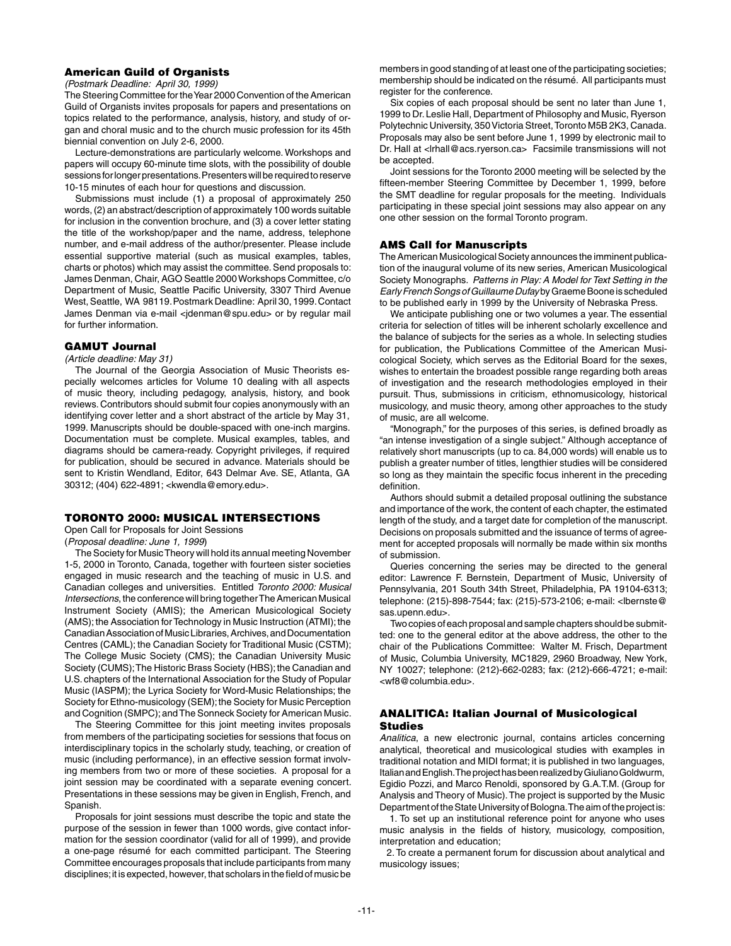## American Guild of Organists

*(Postmark Deadline: April 30, 1999)*

The Steering Committee for the Year 2000 Convention of the American Guild of Organists invites proposals for papers and presentations on topics related to the performance, analysis, history, and study of organ and choral music and to the church music profession for its 45th biennial convention on July 2-6, 2000.

 Lecture-demonstrations are particularly welcome. Workshops and papers will occupy 60-minute time slots, with the possibility of double sessions for longer presentations. Presenters will be required to reserve 10-15 minutes of each hour for questions and discussion.

Submissions must include (1) a proposal of approximately 250 words, (2) an abstract/description of approximately 100 words suitable for inclusion in the convention brochure, and (3) a cover letter stating the title of the workshop/paper and the name, address, telephone number, and e-mail address of the author/presenter. Please include essential supportive material (such as musical examples, tables, charts or photos) which may assist the committee. Send proposals to: James Denman, Chair, AGO Seattle 2000 Workshops Committee, c/o Department of Music, Seattle Pacific University, 3307 Third Avenue West, Seattle, WA 98119. Postmark Deadline: April 30, 1999. Contact James Denman via e-mail <jdenman@spu.edu> or by regular mail for further information.

#### GAMUT Journal

#### *(Article deadline: May 31)*

The Journal of the Georgia Association of Music Theorists especially welcomes articles for Volume 10 dealing with all aspects of music theory, including pedagogy, analysis, history, and book reviews. Contributors should submit four copies anonymously with an identifying cover letter and a short abstract of the article by May 31, 1999. Manuscripts should be double-spaced with one-inch margins. Documentation must be complete. Musical examples, tables, and diagrams should be camera-ready. Copyright privileges, if required for publication, should be secured in advance. Materials should be sent to Kristin Wendland, Editor, 643 Delmar Ave. SE, Atlanta, GA 30312; (404) 622-4891; <kwendla@emory.edu>.

## TORONTO 2000: MUSICAL INTERSECTIONS

Open Call for Proposals for Joint Sessions

(*Proposal deadline: June 1, 1999*)

The Society for Music Theory will hold its annual meeting November 1-5, 2000 in Toronto, Canada, together with fourteen sister societies engaged in music research and the teaching of music in U.S. and Canadian colleges and universities. Entitled *Toronto 2000: Musical Intersections*, the conference will bring together The American Musical Instrument Society (AMIS); the American Musicological Society (AMS); the Association for Technology in Music Instruction (ATMI); the Canadian Association of Music Libraries, Archives, and Documentation Centres (CAML); the Canadian Society for Traditional Music (CSTM); The College Music Society (CMS); the Canadian University Music Society (CUMS); The Historic Brass Society (HBS); the Canadian and U.S. chapters of the International Association for the Study of Popular Music (IASPM); the Lyrica Society for Word-Music Relationships; the Society for Ethno-musicology (SEM); the Society for Music Perception and Cognition (SMPC); and The Sonneck Society for American Music.

The Steering Committee for this joint meeting invites proposals from members of the participating societies for sessions that focus on interdisciplinary topics in the scholarly study, teaching, or creation of music (including performance), in an effective session format involving members from two or more of these societies. A proposal for a joint session may be coordinated with a separate evening concert. Presentations in these sessions may be given in English, French, and Spanish.

Proposals for joint sessions must describe the topic and state the purpose of the session in fewer than 1000 words, give contact information for the session coordinator (valid for all of 1999), and provide a one-page résumé for each committed participant. The Steering Committee encourages proposals that include participants from many disciplines; it is expected, however, that scholars in the field of music be members in good standing of at least one of the participating societies; membership should be indicated on the résumé. All participants must register for the conference.

Six copies of each proposal should be sent no later than June 1, 1999 to Dr. Leslie Hall, Department of Philosophy and Music, Ryerson Polytechnic University, 350 Victoria Street, Toronto M5B 2K3, Canada. Proposals may also be sent before June 1, 1999 by electronic mail to Dr. Hall at <lrhall@acs.ryerson.ca> Facsimile transmissions will not be accepted.

Joint sessions for the Toronto 2000 meeting will be selected by the fifteen-member Steering Committee by December 1, 1999, before the SMT deadline for regular proposals for the meeting. Individuals participating in these special joint sessions may also appear on any one other session on the formal Toronto program.

#### AMS Call for Manuscripts

The American Musicological Society announces the imminent publication of the inaugural volume of its new series, American Musicological Society Monographs. *Patterns in Play: A Model for Text Setting in the Early French Songs of Guillaume Dufay* by Graeme Boone is scheduled to be published early in 1999 by the University of Nebraska Press.

 We anticipate publishing one or two volumes a year. The essential criteria for selection of titles will be inherent scholarly excellence and the balance of subjects for the series as a whole. In selecting studies for publication, the Publications Committee of the American Musicological Society, which serves as the Editorial Board for the sexes, wishes to entertain the broadest possible range regarding both areas of investigation and the research methodologies employed in their pursuit. Thus, submissions in criticism, ethnomusicology, historical musicology, and music theory, among other approaches to the study of music, are all welcome.

"Monograph," for the purposes of this series, is defined broadly as "an intense investigation of a single subject." Although acceptance of relatively short manuscripts (up to ca. 84,000 words) will enable us to publish a greater number of titles, lengthier studies will be considered so long as they maintain the specific focus inherent in the preceding definition.

Authors should submit a detailed proposal outlining the substance and importance of the work, the content of each chapter, the estimated length of the study, and a target date for completion of the manuscript. Decisions on proposals submitted and the issuance of terms of agreement for accepted proposals will normally be made within six months of submission.

Queries concerning the series may be directed to the general editor: Lawrence F. Bernstein, Department of Music, University of Pennsylvania, 201 South 34th Street, Philadelphia, PA 19104-6313; telephone: (215)-898-7544; fax: (215)-573-2106; e-mail: <lbernste@ sas.upenn.edu>.

Two copies of each proposal and sample chapters should be submitted: one to the general editor at the above address, the other to the chair of the Publications Committee: Walter M. Frisch, Department of Music, Columbia University, MC1829, 2960 Broadway, New York, NY 10027; telephone: (212)-662-0283; fax: (212)-666-4721; e-mail: <wf8@columbia.edu>.

## ANALITICA: Italian Journal of Musicological **Studies**

*Analitica*, a new electronic journal, contains articles concerning analytical, theoretical and musicological studies with examples in traditional notation and MIDI format; it is published in two languages, Italian and English. The project has been realized by Giuliano Goldwurm, Egidio Pozzi, and Marco Renoldi, sponsored by G.A.T.M. (Group for Analysis and Theory of Music). The project is supported by the Music Department of the State University of Bologna. The aim of the project is:

 1. To set up an institutional reference point for anyone who uses music analysis in the fields of history, musicology, composition, interpretation and education;

 2. To create a permanent forum for discussion about analytical and musicology issues;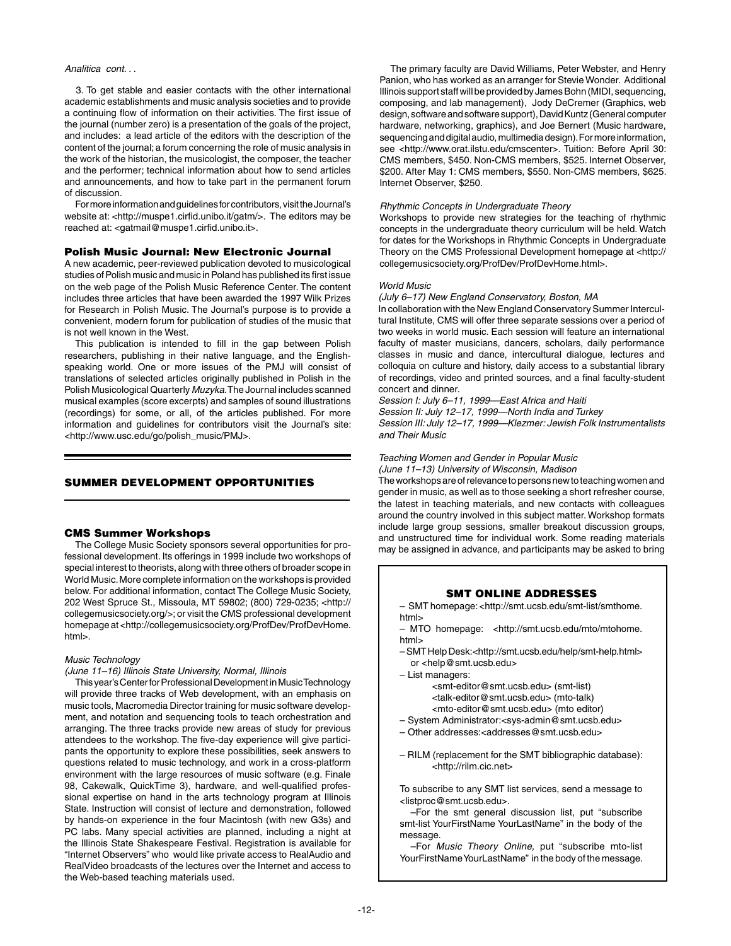#### *Analitica cont. . .*

 3. To get stable and easier contacts with the other international academic establishments and music analysis societies and to provide a continuing flow of information on their activities. The first issue of the journal (number zero) is a presentation of the goals of the project, and includes: a lead article of the editors with the description of the content of the journal; a forum concerning the role of music analysis in the work of the historian, the musicologist, the composer, the teacher and the performer; technical information about how to send articles and announcements, and how to take part in the permanent forum of discussion.

 For more information and guidelines for contributors, visit the Journal's website at: <http://muspe1.cirfid.unibo.it/gatm/>. The editors may be reached at: <gatmail@muspe1.cirfid.unibo.it>.

#### Polish Music Journal: New Electronic Journal

A new academic, peer-reviewed publication devoted to musicological studies of Polish music and music in Poland has published its first issue on the web page of the Polish Music Reference Center. The content includes three articles that have been awarded the 1997 Wilk Prizes for Research in Polish Music. The Journal's purpose is to provide a convenient, modern forum for publication of studies of the music that is not well known in the West.

This publication is intended to fill in the gap between Polish researchers, publishing in their native language, and the Englishspeaking world. One or more issues of the PMJ will consist of translations of selected articles originally published in Polish in the Polish Musicological Quarterly *Muzyka*. The Journal includes scanned musical examples (score excerpts) and samples of sound illustrations (recordings) for some, or all, of the articles published. For more information and guidelines for contributors visit the Journal's site: <http://www.usc.edu/go/polish\_music/PMJ>.

## SUMMER DEVELOPMENT OPPORTUNITIES

#### CMS Summer Workshops

The College Music Society sponsors several opportunities for professional development. Its offerings in 1999 include two workshops of special interest to theorists, along with three others of broader scope in World Music. More complete information on the workshops is provided below. For additional information, contact The College Music Society, 202 West Spruce St., Missoula, MT 59802; (800) 729-0235; <http:// collegemusicsociety.org/>; or visit the CMS professional development homepage at <http://collegemusicsociety.org/ProfDev/ProfDevHome. html>.

#### *Music Technology*

*(June 11–16) Illinois State University, Normal, Illinois*

This year's Center for Professional Development in Music Technology will provide three tracks of Web development, with an emphasis on music tools, Macromedia Director training for music software development, and notation and sequencing tools to teach orchestration and arranging. The three tracks provide new areas of study for previous attendees to the workshop. The five-day experience will give participants the opportunity to explore these possibilities, seek answers to questions related to music technology, and work in a cross-platform environment with the large resources of music software (e.g. Finale 98, Cakewalk, QuickTime 3), hardware, and well-qualified professional expertise on hand in the arts technology program at Illinois State. Instruction will consist of lecture and demonstration, followed by hands-on experience in the four Macintosh (with new G3s) and PC labs. Many special activities are planned, including a night at the Illinois State Shakespeare Festival. Registration is available for "Internet Observers" who would like private access to RealAudio and RealVideo broadcasts of the lectures over the Internet and access to the Web-based teaching materials used.

The primary faculty are David Williams, Peter Webster, and Henry Panion, who has worked as an arranger for Stevie Wonder. Additional Illinois support staff will be provided by James Bohn (MIDI, sequencing, composing, and lab management), Jody DeCremer (Graphics, web design, software and software support), David Kuntz (General computer hardware, networking, graphics), and Joe Bernert (Music hardware, sequencing and digital audio, multimedia design). For more information, see <http://www.orat.ilstu.edu/cmscenter>. Tuition: Before April 30: CMS members, \$450. Non-CMS members, \$525. Internet Observer, \$200. After May 1: CMS members, \$550. Non-CMS members, \$625. Internet Observer, \$250.

#### *Rhythmic Concepts in Undergraduate Theory*

Workshops to provide new strategies for the teaching of rhythmic concepts in the undergraduate theory curriculum will be held. Watch for dates for the Workshops in Rhythmic Concepts in Undergraduate Theory on the CMS Professional Development homepage at <http:// collegemusicsociety.org/ProfDev/ProfDevHome.html>.

#### *World Music*

#### *(July 6–17) New England Conservatory, Boston, MA*

In collaboration with the New England Conservatory Summer Intercultural Institute, CMS will offer three separate sessions over a period of two weeks in world music. Each session will feature an international faculty of master musicians, dancers, scholars, daily performance classes in music and dance, intercultural dialogue, lectures and colloquia on culture and history, daily access to a substantial library of recordings, video and printed sources, and a final faculty-student concert and dinner.

*Session I: July 6–11, 1999—East Africa and Haiti Session II: July 12–17, 1999—North India and Turkey Session III: July 12–17, 1999—Klezmer: Jewish Folk Instrumentalists and Their Music*

# *Teaching Women and Gender in Popular Music*

*(June 11–13) University of Wisconsin, Madison* The workshops are of relevance to persons new to teaching women and gender in music, as well as to those seeking a short refresher course, the latest in teaching materials, and new contacts with colleagues around the country involved in this subject matter. Workshop formats include large group sessions, smaller breakout discussion groups, and unstructured time for individual work. Some reading materials may be assigned in advance, and participants may be asked to bring

#### SMT Online Addresses

– SMT homepage: <http://smt.ucsb.edu/smt-list/smthome. html>

– MTO homepage: <http://smt.ucsb.edu/mto/mtohome. html>

- SMT Help Desk:<http://smt.ucsb.edu/help/smt-help.html> or <help@smt.ucsb.edu>
- List managers:

 <smt-editor@smt.ucsb.edu> (smt-list) <talk-editor@smt.ucsb.edu> (mto-talk) <mto-editor@smt.ucsb.edu> (mto editor)

- System Administrator:<sys-admin@smt.ucsb.edu>
- Other addresses:<addresses@smt.ucsb.edu>
- RILM (replacement for the SMT bibliographic database): <http://rilm.cic.net>

To subscribe to any SMT list services, send a message to <listproc@smt.ucsb.edu>.

–For the smt general discussion list, put "subscribe smt-list YourFirstName YourLastName" in the body of the message.

–For *Music Theory Online,* put "subscribe mto-list YourFirstName YourLastName" in the body of the message.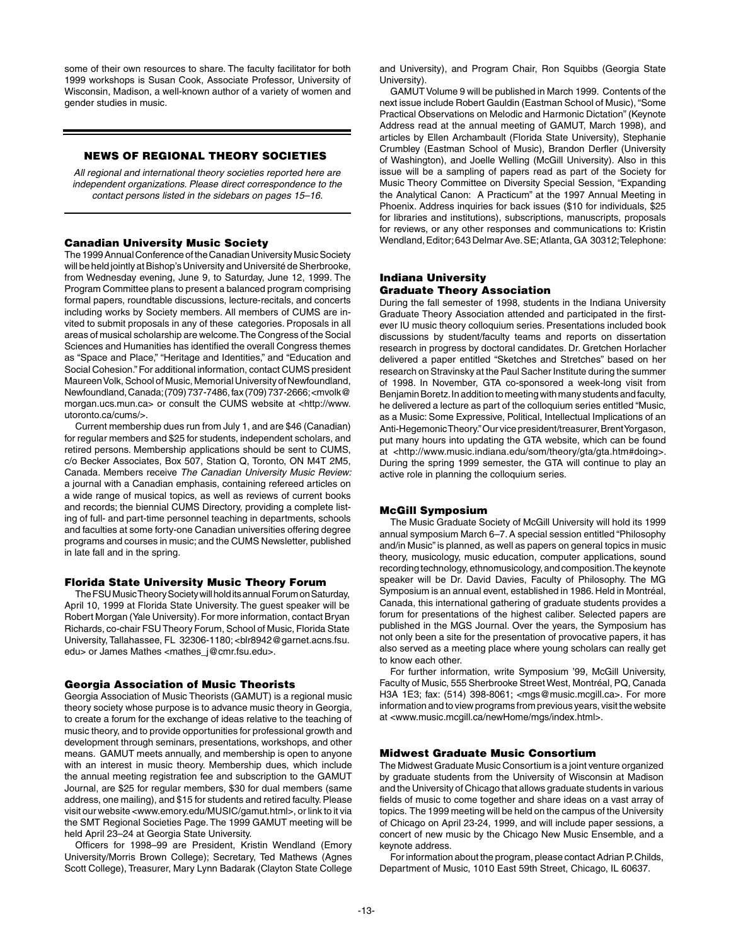some of their own resources to share. The faculty facilitator for both 1999 workshops is Susan Cook, Associate Professor, University of Wisconsin, Madison, a well-known author of a variety of women and gender studies in music.

#### News of regional theory societies

*All regional and international theory societies reported here are independent organizations. Please direct correspondence to the contact persons listed in the sidebars on pages 15–16.*

## Canadian University Music Society

The 1999 Annual Conference of the Canadian University Music Society will be held jointly at Bishop's University and Université de Sherbrooke, from Wednesday evening, June 9, to Saturday, June 12, 1999. The Program Committee plans to present a balanced program comprising formal papers, roundtable discussions, lecture-recitals, and concerts including works by Society members. All members of CUMS are invited to submit proposals in any of these categories. Proposals in all areas of musical scholarship are welcome. The Congress of the Social Sciences and Humanities has identified the overall Congress themes as "Space and Place," "Heritage and Identities," and "Education and Social Cohesion." For additional information, contact CUMS president Maureen Volk, School of Music, Memorial University of Newfoundland, Newfoundland, Canada; (709) 737-7486, fax (709) 737-2666; <mvolk@ morgan.ucs.mun.ca> or consult the CUMS website at <http://www. utoronto.ca/cums/>.

 Current membership dues run from July 1, and are \$46 (Canadian) for regular members and \$25 for students, independent scholars, and retired persons. Membership applications should be sent to CUMS, c/o Becker Associates, Box 507, Station Q, Toronto, ON M4T 2M5, Canada. Members receive *The Canadian University Music Review:*  a journal with a Canadian emphasis, containing refereed articles on a wide range of musical topics, as well as reviews of current books and records; the biennial CUMS Directory, providing a complete listing of full- and part-time personnel teaching in departments, schools and faculties at some forty-one Canadian universities offering degree programs and courses in music; and the CUMS Newsletter, published in late fall and in the spring.

#### Florida State University Music Theory Forum

The FSU Music Theory Society will hold its annual Forum on Saturday, April 10, 1999 at Florida State University. The guest speaker will be Robert Morgan (Yale University). For more information, contact Bryan Richards, co-chair FSU Theory Forum, School of Music, Florida State University, Tallahassee, FL 32306-1180; <br/>blr8942@garnet.acns.fsu. edu> or James Mathes <mathes\_j@cmr.fsu.edu>.

#### Georgia Association of Music Theorists

Georgia Association of Music Theorists (GAMUT) is a regional music theory society whose purpose is to advance music theory in Georgia, to create a forum for the exchange of ideas relative to the teaching of music theory, and to provide opportunities for professional growth and development through seminars, presentations, workshops, and other means. GAMUT meets annually, and membership is open to anyone with an interest in music theory. Membership dues, which include the annual meeting registration fee and subscription to the GAMUT Journal, are \$25 for regular members, \$30 for dual members (same address, one mailing), and \$15 for students and retired faculty. Please visit our website <www.emory.edu/MUSIC/gamut.html>, or link to it via the SMT Regional Societies Page. The 1999 GAMUT meeting will be held April 23–24 at Georgia State University.

Officers for 1998–99 are President, Kristin Wendland (Emory University/Morris Brown College); Secretary, Ted Mathews (Agnes Scott College), Treasurer, Mary Lynn Badarak (Clayton State College and University), and Program Chair, Ron Squibbs (Georgia State University).

GAMUT Volume 9 will be published in March 1999. Contents of the next issue include Robert Gauldin (Eastman School of Music), "Some Practical Observations on Melodic and Harmonic Dictation" (Keynote Address read at the annual meeting of GAMUT, March 1998), and articles by Ellen Archambault (Florida State University), Stephanie Crumbley (Eastman School of Music), Brandon Derfler (University of Washington), and Joelle Welling (McGill University). Also in this issue will be a sampling of papers read as part of the Society for Music Theory Committee on Diversity Special Session, "Expanding the Analytical Canon: A Practicum" at the 1997 Annual Meeting in Phoenix. Address inquiries for back issues (\$10 for individuals, \$25 for libraries and institutions), subscriptions, manuscripts, proposals for reviews, or any other responses and communications to: Kristin Wendland, Editor; 643 Delmar Ave. SE; Atlanta, GA 30312; Telephone:

#### Indiana University Graduate Theory Association

During the fall semester of 1998, students in the Indiana University Graduate Theory Association attended and participated in the firstever IU music theory colloquium series. Presentations included book discussions by student/faculty teams and reports on dissertation research in progress by doctoral candidates. Dr. Gretchen Horlacher delivered a paper entitled "Sketches and Stretches" based on her research on Stravinsky at the Paul Sacher Institute during the summer of 1998. In November, GTA co-sponsored a week-long visit from Benjamin Boretz. In addition to meeting with many students and faculty, he delivered a lecture as part of the colloquium series entitled "Music, as a Music: Some Expressive, Political, Intellectual Implications of an Anti-Hegemonic Theory." Our vice president/treasurer, Brent Yorgason, put many hours into updating the GTA website, which can be found at <http://www.music.indiana.edu/som/theory/gta/gta.htm#doing>. During the spring 1999 semester, the GTA will continue to play an active role in planning the colloquium series.

#### McGill Symposium

The Music Graduate Society of McGill University will hold its 1999 annual symposium March 6–7. A special session entitled "Philosophy and/in Music" is planned, as well as papers on general topics in music theory, musicology, music education, computer applications, sound recording technology, ethnomusicology, and composition. The keynote speaker will be Dr. David Davies, Faculty of Philosophy. The MG Symposium is an annual event, established in 1986. Held in Montréal, Canada, this international gathering of graduate students provides a forum for presentations of the highest caliber. Selected papers are published in the MGS Journal. Over the years, the Symposium has not only been a site for the presentation of provocative papers, it has also served as a meeting place where young scholars can really get to know each other.

 For further information, write Symposium '99, McGill University, Faculty of Music, 555 Sherbrooke Street West, Montréal, PQ, Canada H3A 1E3; fax: (514) 398-8061; <mgs@music.mcgill.ca>. For more information and to view programs from previous years, visit the website at <www.music.mcgill.ca/newHome/mgs/index.html>.

#### Midwest Graduate Music Consortium

The Midwest Graduate Music Consortium is a joint venture organized by graduate students from the University of Wisconsin at Madison and the University of Chicago that allows graduate students in various fields of music to come together and share ideas on a vast array of topics. The 1999 meeting will be held on the campus of the University of Chicago on April 23-24, 1999, and will include paper sessions, a concert of new music by the Chicago New Music Ensemble, and a keynote address.

 For information about the program, please contact Adrian P. Childs, Department of Music, 1010 East 59th Street, Chicago, IL 60637.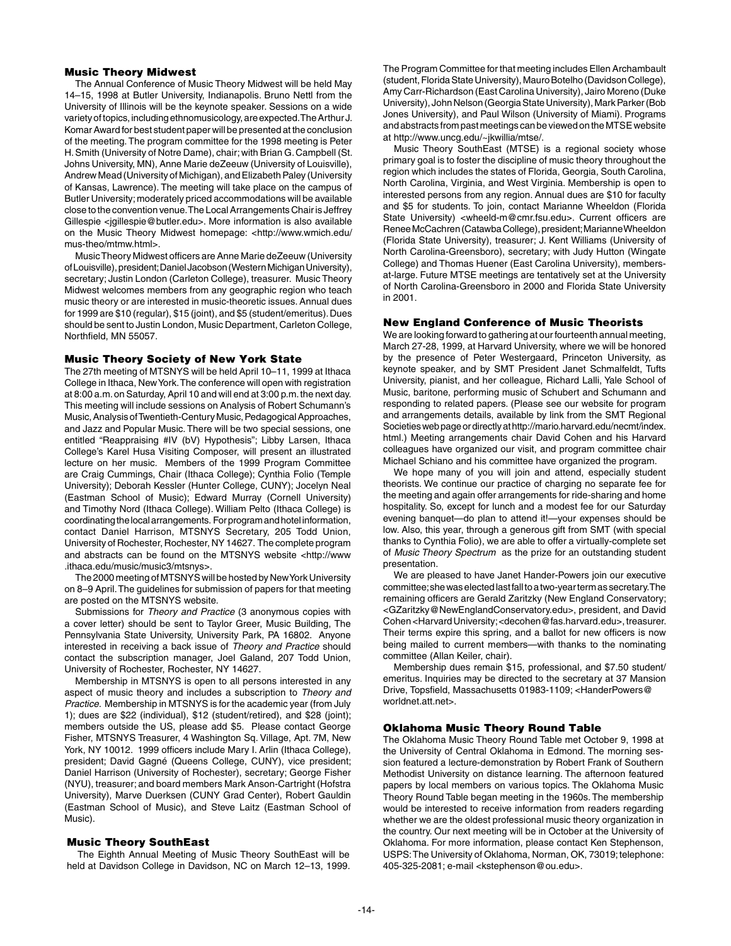## Music Theory Midwest

The Annual Conference of Music Theory Midwest will be held May 14–15, 1998 at Butler University, Indianapolis. Bruno Nettl from the University of Illinois will be the keynote speaker. Sessions on a wide variety of topics, including ethnomusicology, are expected. The Arthur J. Komar Award for best student paper will be presented at the conclusion of the meeting. The program committee for the 1998 meeting is Peter H. Smith (University of Notre Dame), chair; with Brian G. Campbell (St. Johns University, MN), Anne Marie deZeeuw (University of Louisville), Andrew Mead (University of Michigan), and Elizabeth Paley (University of Kansas, Lawrence). The meeting will take place on the campus of Butler University; moderately priced accommodations will be available close to the convention venue. The Local Arrangements Chair is Jeffrey Gillespie <jgillespie@butler.edu>. More information is also available on the Music Theory Midwest homepage: <http://www.wmich.edu/ mus-theo/mtmw.html>.

Music Theory Midwest officers are Anne Marie deZeeuw (University of Louisville), president; Daniel Jacobson (Western Michigan University), secretary; Justin London (Carleton College), treasurer. Music Theory Midwest welcomes members from any geographic region who teach music theory or are interested in music-theoretic issues. Annual dues for 1999 are \$10 (regular), \$15 (joint), and \$5 (student/emeritus). Dues should be sent to Justin London, Music Department, Carleton College, Northfield, MN 55057.

#### Music Theory Society of New York State

The 27th meeting of MTSNYS will be held April 10–11, 1999 at Ithaca College in Ithaca, New York. The conference will open with registration at 8:00 a.m. on Saturday, April 10 and will end at 3:00 p.m. the next day. This meeting will include sessions on Analysis of Robert Schumann's Music, Analysis of Twentieth-Century Music, Pedagogical Approaches, and Jazz and Popular Music. There will be two special sessions, one entitled "Reappraising #IV (bV) Hypothesis"; Libby Larsen, Ithaca College's Karel Husa Visiting Composer, will present an illustrated lecture on her music. Members of the 1999 Program Committee are Craig Cummings, Chair (Ithaca College); Cynthia Folio (Temple University); Deborah Kessler (Hunter College, CUNY); Jocelyn Neal (Eastman School of Music); Edward Murray (Cornell University) and Timothy Nord (Ithaca College). William Pelto (Ithaca College) is coordinating the local arrangements. For program and hotel information, contact Daniel Harrison, MTSNYS Secretary, 205 Todd Union, University of Rochester, Rochester, NY 14627. The complete program and abstracts can be found on the MTSNYS website <http://www .ithaca.edu/music/music3/mtsnys>.

The 2000 meeting of MTSNYS will be hosted by New York University on 8–9 April. The guidelines for submission of papers for that meeting are posted on the MTSNYS website.

Submissions for *Theory and Practice* (3 anonymous copies with a cover letter) should be sent to Taylor Greer, Music Building, The Pennsylvania State University, University Park, PA 16802. Anyone interested in receiving a back issue of *Theory and Practice* should contact the subscription manager, Joel Galand, 207 Todd Union, University of Rochester, Rochester, NY 14627.

Membership in MTSNYS is open to all persons interested in any aspect of music theory and includes a subscription to *Theory and Practice*. Membership in MTSNYS is for the academic year (from July 1); dues are \$22 (individual), \$12 (student/retired), and \$28 (joint); members outside the US, please add \$5. Please contact George Fisher, MTSNYS Treasurer, 4 Washington Sq. Village, Apt. 7M, New York, NY 10012. 1999 officers include Mary I. Arlin (Ithaca College), president; David Gagné (Queens College, CUNY), vice president; Daniel Harrison (University of Rochester), secretary; George Fisher (NYU), treasurer; and board members Mark Anson-Cartright (Hofstra University), Marve Duerksen (CUNY Grad Center), Robert Gauldin (Eastman School of Music), and Steve Laitz (Eastman School of Music).

#### Music Theory SouthEast

The Eighth Annual Meeting of Music Theory SouthEast will be held at Davidson College in Davidson, NC on March 12–13, 1999.

The Program Committee for that meeting includes Ellen Archambault (student, Florida State University), Mauro Botelho (Davidson College), Amy Carr-Richardson (East Carolina University), Jairo Moreno (Duke University), John Nelson (Georgia State University), Mark Parker (Bob Jones University), and Paul Wilson (University of Miami). Programs and abstracts from past meetings can be viewed on the MTSE website at http://www.uncg.edu/~jkwillia/mtse/.

Music Theory SouthEast (MTSE) is a regional society whose primary goal is to foster the discipline of music theory throughout the region which includes the states of Florida, Georgia, South Carolina, North Carolina, Virginia, and West Virginia. Membership is open to interested persons from any region. Annual dues are \$10 for faculty and \$5 for students. To join, contact Marianne Wheeldon (Florida State University) <wheeld-m@cmr.fsu.edu>. Current officers are Renee McCachren (Catawba College), president; Marianne Wheeldon (Florida State University), treasurer; J. Kent Williams (University of North Carolina-Greensboro), secretary; with Judy Hutton (Wingate College) and Thomas Huener (East Carolina University), membersat-large. Future MTSE meetings are tentatively set at the University of North Carolina-Greensboro in 2000 and Florida State University in 2001.

#### New England Conference of Music Theorists

We are looking forward to gathering at our fourteenth annual meeting, March 27-28, 1999, at Harvard University, where we will be honored by the presence of Peter Westergaard, Princeton University, as keynote speaker, and by SMT President Janet Schmalfeldt, Tufts University, pianist, and her colleague, Richard Lalli, Yale School of Music, baritone, performing music of Schubert and Schumann and responding to related papers. (Please see our website for program and arrangements details, available by link from the SMT Regional Societies web page or directly at http://mario.harvard.edu/necmt/index. html.) Meeting arrangements chair David Cohen and his Harvard colleagues have organized our visit, and program committee chair Michael Schiano and his committee have organized the program.

 We hope many of you will join and attend, especially student theorists. We continue our practice of charging no separate fee for the meeting and again offer arrangements for ride-sharing and home hospitality. So, except for lunch and a modest fee for our Saturday evening banquet—do plan to attend it!—your expenses should be low. Also, this year, through a generous gift from SMT (with special thanks to Cynthia Folio), we are able to offer a virtually-complete set of *Music Theory Spectrum* as the prize for an outstanding student presentation.

 We are pleased to have Janet Hander-Powers join our executive committee; she was elected last fall to a two-year term as secretary. The remaining officers are Gerald Zaritzky (New England Conservatory; <GZaritzky@NewEnglandConservatory.edu>, president, and David Cohen <Harvard University; <decohen@fas.harvard.edu>, treasurer. Their terms expire this spring, and a ballot for new officers is now being mailed to current members—with thanks to the nominating committee (Allan Keiler, chair).

Membership dues remain \$15, professional, and \$7.50 student/ emeritus. Inquiries may be directed to the secretary at 37 Mansion Drive, Topsfield, Massachusetts 01983-1109; <HanderPowers@ worldnet.att.net>.

## Oklahoma Music Theory Round Table

The Oklahoma Music Theory Round Table met October 9, 1998 at the University of Central Oklahoma in Edmond. The morning session featured a lecture-demonstration by Robert Frank of Southern Methodist University on distance learning. The afternoon featured papers by local members on various topics. The Oklahoma Music Theory Round Table began meeting in the 1960s. The membership would be interested to receive information from readers regarding whether we are the oldest professional music theory organization in the country. Our next meeting will be in October at the University of Oklahoma. For more information, please contact Ken Stephenson, USPS: The University of Oklahoma, Norman, OK, 73019; telephone: 405-325-2081; e-mail <kstephenson@ou.edu>.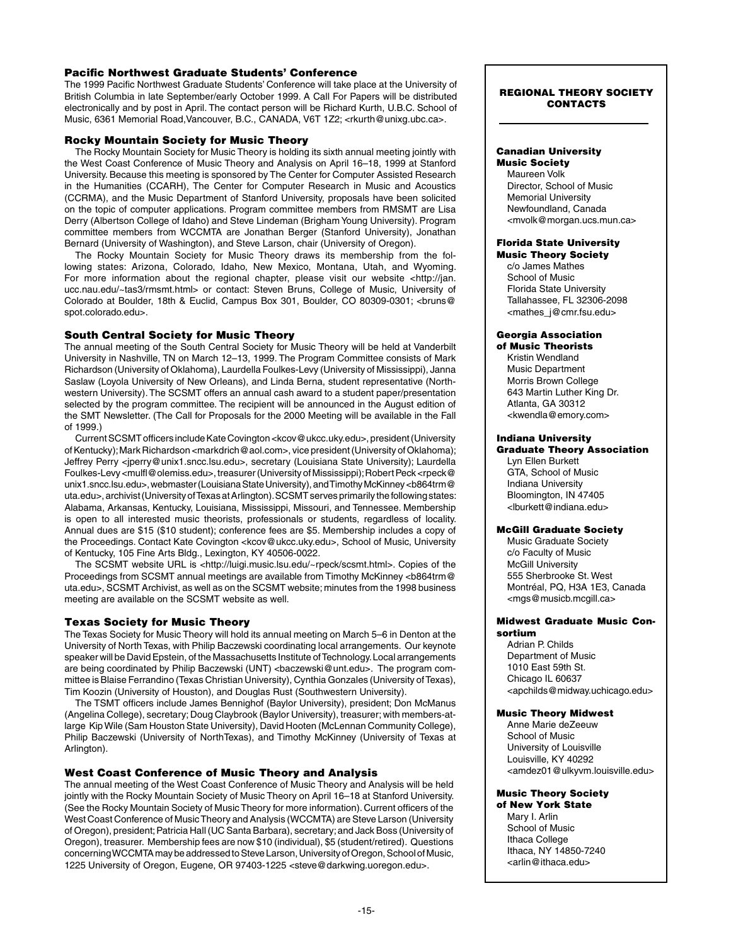## Pacific Northwest Graduate Students' Conference

The 1999 Pacific Northwest Graduate Students' Conference will take place at the University of British Columbia in late September/early October 1999. A Call For Papers will be distributed electronically and by post in April. The contact person will be Richard Kurth, U.B.C. School of Music, 6361 Memorial Road, Vancouver, B.C., CANADA, V6T 1Z2; <rkurth@unixg.ubc.ca>.

## Rocky Mountain Society for Music Theory

The Rocky Mountain Society for Music Theory is holding its sixth annual meeting jointly with the West Coast Conference of Music Theory and Analysis on April 16–18, 1999 at Stanford University. Because this meeting is sponsored by The Center for Computer Assisted Research in the Humanities (CCARH), The Center for Computer Research in Music and Acoustics (CCRMA), and the Music Department of Stanford University, proposals have been solicited on the topic of computer applications. Program committee members from RMSMT are Lisa Derry (Albertson College of Idaho) and Steve Lindeman (Brigham Young University). Program committee members from WCCMTA are Jonathan Berger (Stanford University), Jonathan Bernard (University of Washington), and Steve Larson, chair (University of Oregon).

The Rocky Mountain Society for Music Theory draws its membership from the following states: Arizona, Colorado, Idaho, New Mexico, Montana, Utah, and Wyoming. For more information about the regional chapter, please visit our website <http://jan. ucc.nau.edu/~tas3/rmsmt.html> or contact: Steven Bruns, College of Music, University of Colorado at Boulder, 18th & Euclid, Campus Box 301, Boulder, CO 80309-0301; <bruns@ spot.colorado.edu>.

## South Central Society for Music Theory

The annual meeting of the South Central Society for Music Theory will be held at Vanderbilt University in Nashville, TN on March 12–13, 1999. The Program Committee consists of Mark Richardson (University of Oklahoma), Laurdella Foulkes-Levy (University of Mississippi), Janna Saslaw (Loyola University of New Orleans), and Linda Berna, student representative (Northwestern University). The SCSMT offers an annual cash award to a student paper/presentation selected by the program committee. The recipient will be announced in the August edition of the SMT Newsletter. (The Call for Proposals for the 2000 Meeting will be available in the Fall of 1999.)

 Current SCSMT officers include Kate Covington <kcov@ukcc.uky.edu>, president (University of Kentucky); Mark Richardson <markdrich@aol.com>, vice president (University of Oklahoma); Jeffrey Perry <jperry@unix1.sncc.lsu.edu>, secretary (Louisiana State University); Laurdella Foulkes-Levy <mulfl@olemiss.edu>, treasurer (University of Mississippi); Robert Peck <rpeck@ unix1.sncc.lsu.edu>, webmaster (Louisiana State University), and Timothy McKinney <br/>b864trm@ uta.edu>, archivist (University of Texas at Arlington). SCSMT serves primarily the following states: Alabama, Arkansas, Kentucky, Louisiana, Mississippi, Missouri, and Tennessee. Membership is open to all interested music theorists, professionals or students, regardless of locality. Annual dues are \$15 (\$10 student); conference fees are \$5. Membership includes a copy of the Proceedings. Contact Kate Covington <kcov@ukcc.uky.edu>, School of Music, University of Kentucky, 105 Fine Arts Bldg., Lexington, KY 40506-0022.

The SCSMT website URL is <http://luigi.music.lsu.edu/~rpeck/scsmt.html>. Copies of the Proceedings from SCSMT annual meetings are available from Timothy McKinney <br/>b864trm@ uta.edu>, SCSMT Archivist, as well as on the SCSMT website; minutes from the 1998 business meeting are available on the SCSMT website as well.

## Texas Society for Music Theory

The Texas Society for Music Theory will hold its annual meeting on March 5–6 in Denton at the University of North Texas, with Philip Baczewski coordinating local arrangements. Our keynote speaker will be David Epstein, of the Massachusetts Institute of Technology. Local arrangements are being coordinated by Philip Baczewski (UNT) <br/>baczewski@unt.edu>. The program committee is Blaise Ferrandino (Texas Christian University), Cynthia Gonzales (University of Texas), Tim Koozin (University of Houston), and Douglas Rust (Southwestern University).

The TSMT officers include James Bennighof (Baylor University), president; Don McManus (Angelina College), secretary; Doug Claybrook (Baylor University), treasurer; with members-atlarge Kip Wile (Sam Houston State University), David Hooten (McLennan Community College), Philip Baczewski (University of NorthTexas), and Timothy McKinney (University of Texas at Arlington).

## West Coast Conference of Music Theory and Analysis

The annual meeting of the West Coast Conference of Music Theory and Analysis will be held jointly with the Rocky Mountain Society of Music Theory on April 16–18 at Stanford University. (See the Rocky Mountain Society of Music Theory for more information). Current officers of the West Coast Conference of Music Theory and Analysis (WCCMTA) are Steve Larson (University of Oregon), president; Patricia Hall (UC Santa Barbara), secretary; and Jack Boss (University of Oregon), treasurer. Membership fees are now \$10 (individual), \$5 (student/retired). Questions concerning WCCMTA may be addressed to Steve Larson, University of Oregon, School of Music, 1225 University of Oregon, Eugene, OR 97403-1225 <steve@darkwing.uoregon.edu>.

#### regional theory society **CONTACTS**

## Canadian University

Music Society Maureen Volk Director, School of Music Memorial University Newfoundland, Canada <mvolk@morgan.ucs.mun.ca>

# Florida State University

Music Theory Society c/o James Mathes School of Music Florida State University Tallahassee, FL 32306-2098 <mathes\_j@cmr.fsu.edu>

# Georgia Association

of Music Theorists Kristin Wendland Music Department Morris Brown College 643 Martin Luther King Dr. Atlanta, GA 30312 <kwendla@emory.com>

# Indiana University

Graduate Theory Association Lyn Ellen Burkett GTA, School of Music Indiana University Bloomington, IN 47405 <lburkett@indiana.edu>

#### McGill Graduate Society

Music Graduate Society c/o Faculty of Music McGill University 555 Sherbrooke St. West Montréal, PQ, H3A 1E3, Canada <mgs@musicb.mcgill.ca>

#### Midwest Graduate Music Consortium

Adrian P. Childs Department of Music 1010 East 59th St. Chicago IL 60637 <apchilds@midway.uchicago.edu>

#### Music Theory Midwest

Anne Marie deZeeuw School of Music University of Louisville Louisville, KY 40292 <amdez01@ulkyvm.louisville.edu>

#### Music Theory Society of New York State

Mary I. Arlin School of Music Ithaca College Ithaca, NY 14850-7240 <arlin@ithaca.edu>